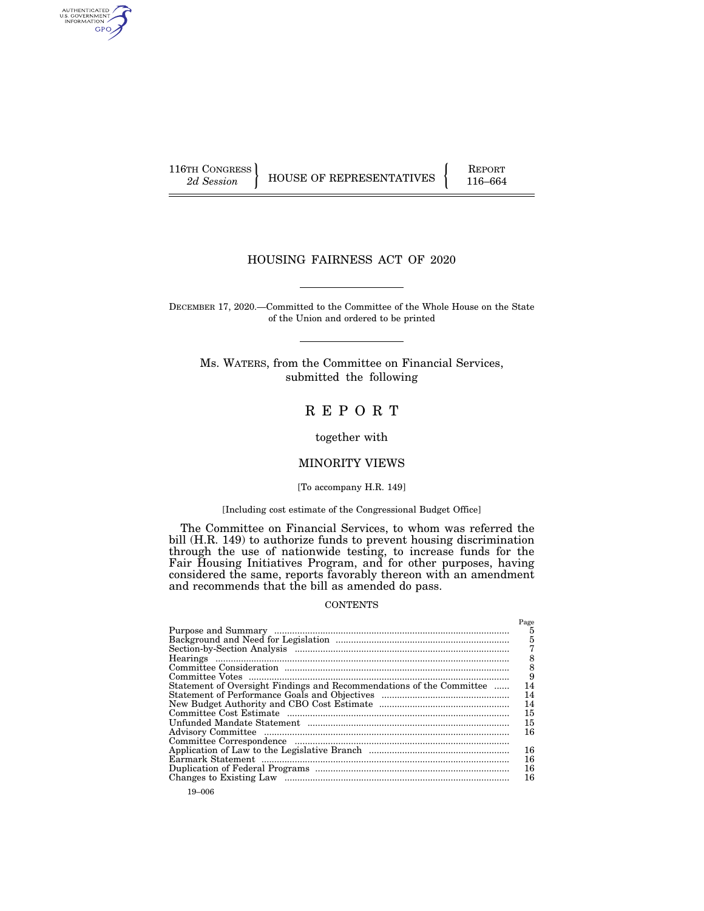AUTHENTICATED<br>U.S. GOVERNMENT<br>INFORMATION GPO

116TH CONGRESS HOUSE OF REPRESENTATIVES FEPORT 116–664

## HOUSING FAIRNESS ACT OF 2020

DECEMBER 17, 2020.—Committed to the Committee of the Whole House on the State of the Union and ordered to be printed

Ms. WATERS, from the Committee on Financial Services, submitted the following

## R E P O R T

together with

## MINORITY VIEWS

## [To accompany H.R. 149]

## [Including cost estimate of the Congressional Budget Office]

The Committee on Financial Services, to whom was referred the bill (H.R. 149) to authorize funds to prevent housing discrimination through the use of nationwide testing, to increase funds for the Fair Housing Initiatives Program, and for other purposes, having considered the same, reports favorably thereon with an amendment and recommends that the bill as amended do pass.

## **CONTENTS**

|                                                                      | Page |
|----------------------------------------------------------------------|------|
|                                                                      | 5    |
|                                                                      | 5    |
|                                                                      |      |
|                                                                      | 8    |
|                                                                      | 8    |
|                                                                      | 9    |
| Statement of Oversight Findings and Recommendations of the Committee | 14   |
|                                                                      | 14   |
|                                                                      | 14   |
|                                                                      | 15   |
|                                                                      | 15   |
|                                                                      | 16   |
|                                                                      |      |
|                                                                      | 16   |
|                                                                      | 16   |
|                                                                      | 16   |
|                                                                      | 16   |
|                                                                      |      |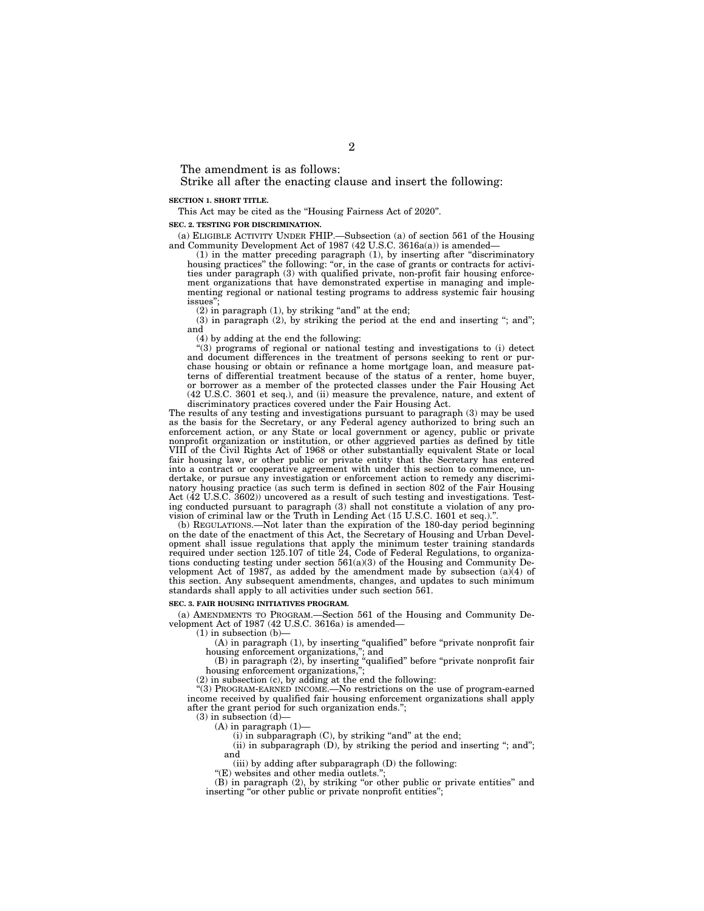The amendment is as follows:

Strike all after the enacting clause and insert the following:

#### **SECTION 1. SHORT TITLE.**

This Act may be cited as the ''Housing Fairness Act of 2020''.

**SEC. 2. TESTING FOR DISCRIMINATION.** 

(a) ELIGIBLE ACTIVITY UNDER FHIP.—Subsection (a) of section 561 of the Housing and Community Development Act of 1987  $(42 \text{ U.S.C. } 3616a(a))$  is amended—

(1) in the matter preceding paragraph (1), by inserting after ''discriminatory housing practices" the following: "or, in the case of grants or contracts for activities under paragraph (3) with qualified private, non-profit fair housing enforcement organizations that have demonstrated expertise in managing and implementing regional or national testing programs to address systemic fair housing issues'';

 $(2)$  in paragraph  $(1)$ , by striking "and" at the end;

(3) in paragraph (2), by striking the period at the end and inserting ''; and''; and

(4) by adding at the end the following:

''(3) programs of regional or national testing and investigations to (i) detect and document differences in the treatment of persons seeking to rent or purchase housing or obtain or refinance a home mortgage loan, and measure patterns of differential treatment because of the status of a renter, home buyer, or borrower as a member of the protected classes under the Fair Housing Act (42 U.S.C. 3601 et seq.), and (ii) measure the prevalence, nature, and extent of discriminatory practices covered under the Fair Housing Act.

The results of any testing and investigations pursuant to paragraph (3) may be used as the basis for the Secretary, or any Federal agency authorized to bring such an enforcement action, or any State or local government or agency, public or private nonprofit organization or institution, or other aggrieved parties as defined by title VIII of the Civil Rights Act of 1968 or other substantially equivalent State or local fair housing law, or other public or private entity that the Secretary has entered into a contract or cooperative agreement with under this section to commence, undertake, or pursue any investigation or enforcement action to remedy any discriminatory housing practice (as such term is defined in section 802 of the Fair Housing Act (42 U.S.C. 3602)) uncovered as a result of such testing and investigations. Testing conducted pursuant to paragraph (3) shall not constitute a violation of any provision of criminal law or the Truth in Lending Act (15 U.S.C. 1601 et seq.)

(b) REGULATIONS.—Not later than the expiration of the 180-day period beginning on the date of the enactment of this Act, the Secretary of Housing and Urban Development shall issue regulations that apply the minimum tester training standards required under section 125.107 of title 24, Code of Federal Regulations, to organizations conducting testing under section 561(a)(3) of the Housing and Community Development Act of 1987, as added by the amendment made by subsection  $(a)(4)$  of this section. Any subsequent amendments, changes, and updates to such minimum standards shall apply to all activities under such section 561.

#### **SEC. 3. FAIR HOUSING INITIATIVES PROGRAM.**

(a) AMENDMENTS TO PROGRAM.—Section 561 of the Housing and Community Development Act of 1987 (42 U.S.C. 3616a) is amended—

 $(1)$  in subsection  $(b)$ -

(A) in paragraph (1), by inserting ''qualified'' before ''private nonprofit fair housing enforcement organizations,''; and

(B) in paragraph (2), by inserting ''qualified'' before ''private nonprofit fair housing enforcement organizations,";

(2) in subsection (c), by adding at the end the following:

''(3) PROGRAM-EARNED INCOME.—No restrictions on the use of program-earned income received by qualified fair housing enforcement organizations shall apply after the grant period for such organization ends.'';

 $(3)$  in subsection  $(d)$ -

(A) in paragraph (1)—

 $(i)$  in subparagraph  $(C)$ , by striking "and" at the end;

(ii) in subparagraph (D), by striking the period and inserting "; and"; and

(iii) by adding after subparagraph (D) the following:

"(E) websites and other media outlets."

(B) in paragraph (2), by striking "or other public or private entities" and inserting ''or other public or private nonprofit entities'';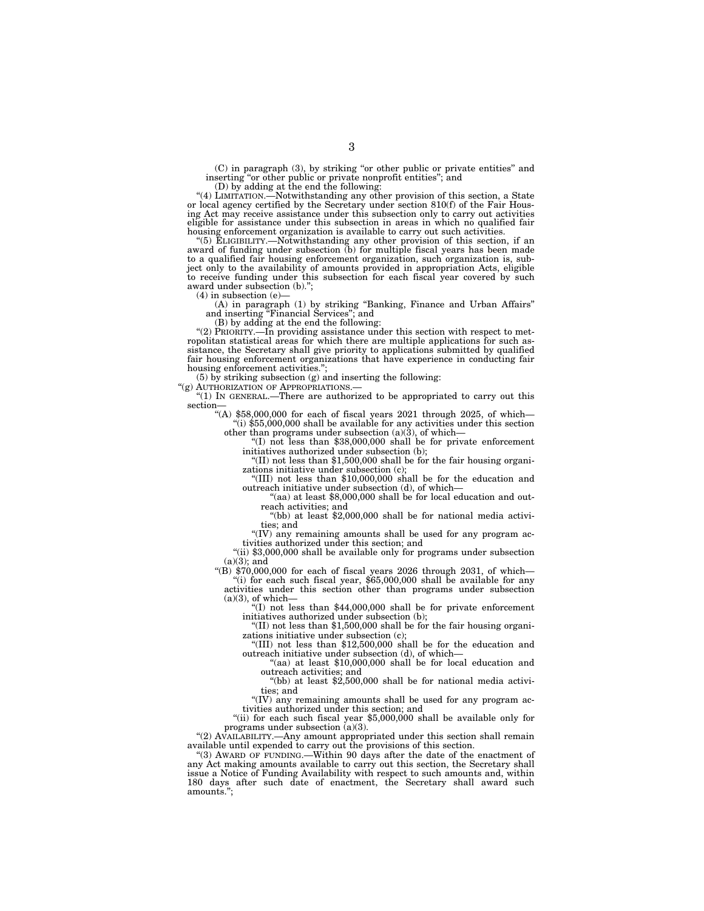(C) in paragraph (3), by striking ''or other public or private entities'' and inserting ''or other public or private nonprofit entities''; and

(D) by adding at the end the following<br>"(4) LIMITATION.—Notwithstanding any ot -Notwithstanding any other provision of this section, a State or local agency certified by the Secretary under section 810(f) of the Fair Housing Act may receive assistance under this subsection only to carry out activities eligible for assistance under this subsection in areas in which no qualified fair housing enforcement organization is available to carry out such activities.

''(5) ELIGIBILITY.—Notwithstanding any other provision of this section, if an award of funding under subsection (b) for multiple fiscal years has been made to a qualified fair housing enforcement organization, such organization is, subject only to the availability of amounts provided in appropriation Acts, eligible to receive funding under this subsection for each fiscal year covered by such award under subsection (b).'';

 $(4)$  in subsection  $(e)$ 

(A) in paragraph (1) by striking "Banking, Finance and Urban Affairs" and inserting "Financial Services"; and

(B) by adding at the end the following: ''(2) PRIORITY.—In providing assistance under this section with respect to metropolitan statistical areas for which there are multiple applications for such assistance, the Secretary shall give priority to applications submitted by qualified fair housing enforcement organizations that have experience in conducting fair housing enforcement activities.'';

(5) by striking subsection (g) and inserting the following:

"(g) AUTHORIZATION OF APPROPRIATIONS.

''(1) IN GENERAL.—There are authorized to be appropriated to carry out this section—

"(A)  $$58,000,000$  for each of fiscal years 2021 through 2025, of which-''(i) \$55,000,000 shall be available for any activities under this section other than programs under subsection  $(a)(3)$ , of which-

''(I) not less than \$38,000,000 shall be for private enforcement initiatives authorized under subsection (b);

"(II) not less than  $$1,500,000$  shall be for the fair housing organizations initiative under subsection (c);

''(III) not less than \$10,000,000 shall be for the education and outreach initiative under subsection (d), of which—

"(aa) at least \$8,000,000 shall be for local education and outreach activities; and

''(bb) at least \$2,000,000 shall be for national media activities; and

''(IV) any remaining amounts shall be used for any program activities authorized under this section; and

''(ii) \$3,000,000 shall be available only for programs under subsection  $(a)(3)$ ; and

"(B)  $\frac{1}{2}70,000,000$  for each of fiscal years 2026 through 2031, of which— "(i) for each such fiscal year,  $$65,000,000$  shall be available for any

activities under this section other than programs under subsection  $(a)(3)$ , of which-

" $(1)$  not less than \$44,000,000 shall be for private enforcement initiatives authorized under subsection (b);

 $^{\cdot\cdot}$ (II) not less than \$1,500,000 shall be for the fair housing organizations initiative under subsection (c);

''(III) not less than \$12,500,000 shall be for the education and outreach initiative under subsection (d), of which—

"(aa) at least  $$10,000,000$  shall be for local education and outreach activities; and

''(bb) at least \$2,500,000 shall be for national media activities; and

''(IV) any remaining amounts shall be used for any program activities authorized under this section; and

"(ii) for each such fiscal year \$5,000,000 shall be available only for programs under subsection (a)(3). "(2) AVAILABILITY.—Any amount appropriated under this section shall remain

available until expended to carry out the provisions of this section. ''(3) AWARD OF FUNDING.—Within 90 days after the date of the enactment of

any Act making amounts available to carry out this section, the Secretary shall issue a Notice of Funding Availability with respect to such amounts and, within 180 days after such date of enactment, the Secretary shall award such amounts.'';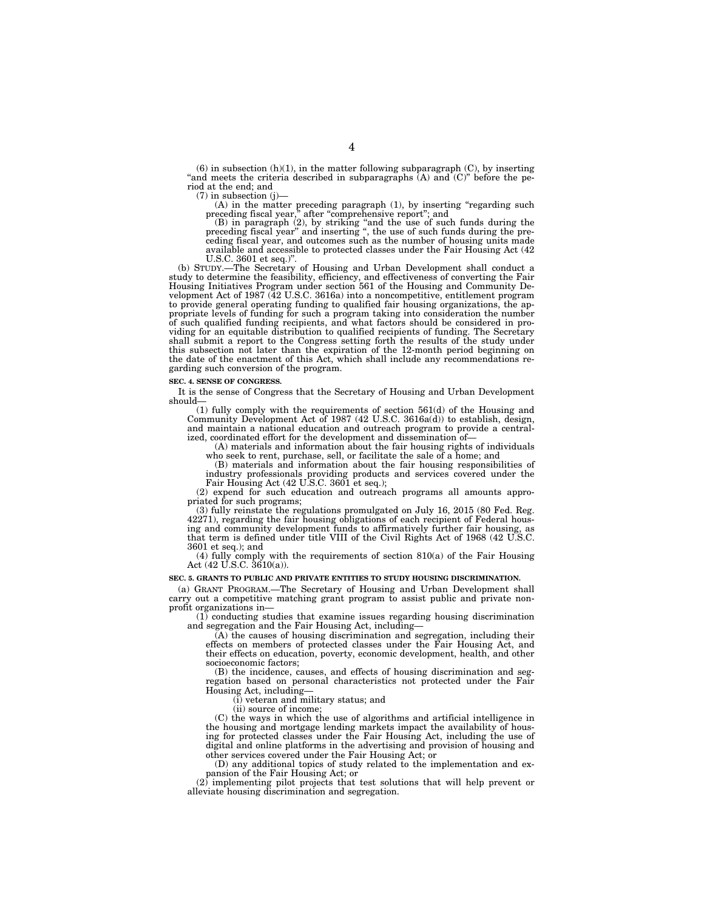$(6)$  in subsection  $(h)(1)$ , in the matter following subparagraph  $(C)$ , by inserting "and meets the criteria described in subparagraphs  $(A)$  and  $(C)$ " before the period at the end; and

 $(7)$  in subsection  $(i)$ 

(A) in the matter preceding paragraph (1), by inserting "regarding such

preceding fiscal year," after "comprehensive report"; and<br>
(B) in paragraph (2), by striking "and the use of such funds during the<br>
preceding fiscal year" and inserting ", the use of such funds during the pre-<br>
ceding fisc available and accessible to protected classes under the Fair Housing Act (42 U.S.C. 3601 et seq.)''.

(b) STUDY.—The Secretary of Housing and Urban Development shall conduct a study to determine the feasibility, efficiency, and effectiveness of converting the Fair Housing Initiatives Program under section 561 of the Housing and Community De-velopment Act of 1987 (42 U.S.C. 3616a) into a noncompetitive, entitlement program to provide general operating funding to qualified fair housing organizations, the ap-propriate levels of funding for such a program taking into consideration the number of such qualified funding recipients, and what factors should be considered in pro-viding for an equitable distribution to qualified recipients of funding. The Secretary shall submit a report to the Congress setting forth the results of the study under this subsection not later than the expiration of the 12-month period beginning on the date of the enactment of this Act, which shall include any recommendations regarding such conversion of the program.

**SEC. 4. SENSE OF CONGRESS.** 

It is the sense of Congress that the Secretary of Housing and Urban Development should—

 $(1)$  fully comply with the requirements of section 561 $(d)$  of the Housing and Community Development Act of 1987 (42 U.S.C. 3616a(d)) to establish, design, and maintain a national education and outreach program to provide a centralized, coordinated effort for the development and dissemination of-

(A) materials and information about the fair housing rights of individuals who seek to rent, purchase, sell, or facilitate the sale of a home; and

(B) materials and information about the fair housing responsibilities of industry professionals providing products and services covered under the Fair Housing Act (42 U.S.C. 3601 et seq.);

(2) expend for such education and outreach programs all amounts appropriated for such programs;

(3) fully reinstate the regulations promulgated on July 16, 2015 (80 Fed. Reg. 42271), regarding the fair housing obligations of each recipient of Federal hous-ing and community development funds to affirmatively further fair housing, as that term is defined under title VIII of the Civil Rights Act of 1968 (42 U.S.C. 3601 et seq.); and

(4) fully comply with the requirements of section 810(a) of the Fair Housing Act  $(42 \text{ U.S.C. } \hat{3610} \text{(a)}).$ 

#### **SEC. 5. GRANTS TO PUBLIC AND PRIVATE ENTITIES TO STUDY HOUSING DISCRIMINATION.**

(a) GRANT PROGRAM.—The Secretary of Housing and Urban Development shall carry out a competitive matching grant program to assist public and private nonprofit organizations in—

(1) conducting studies that examine issues regarding housing discrimination and segregation and the Fair Housing Act, including—

(A) the causes of housing discrimination and segregation, including their effects on members of protected classes under the Fair Housing Act, and their effects on education, poverty, economic development, health, and other socioeconomic factors;

(B) the incidence, causes, and effects of housing discrimination and segregation based on personal characteristics not protected under the Fair Housing Act, including—

(i) veteran and military status; and

(ii) source of income;

(C) the ways in which the use of algorithms and artificial intelligence in the housing and mortgage lending markets impact the availability of housing for protected classes under the Fair Housing Act, including the use of digital and online platforms in the advertising and provision of housing and other services covered under the Fair Housing Act; or

(D) any additional topics of study related to the implementation and expansion of the Fair Housing Act; or

(2) implementing pilot projects that test solutions that will help prevent or alleviate housing discrimination and segregation.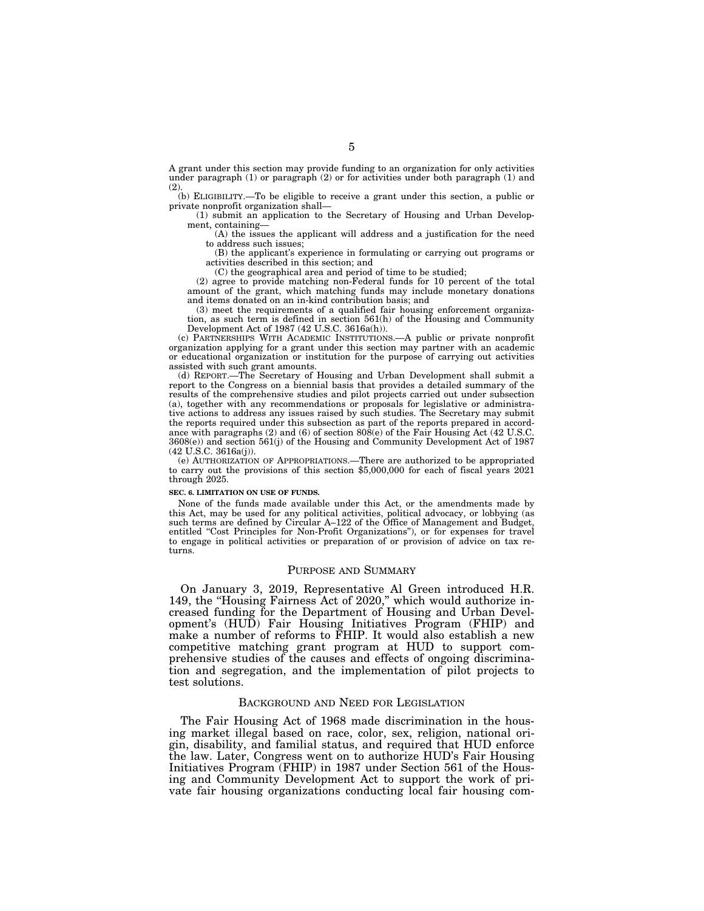A grant under this section may provide funding to an organization for only activities under paragraph (1) or paragraph (2) or for activities under both paragraph (1) and (2).

(b) ELIGIBILITY.—To be eligible to receive a grant under this section, a public or private nonprofit organization shall—

(1) submit an application to the Secretary of Housing and Urban Development, containing—

(A) the issues the applicant will address and a justification for the need to address such issues;

(B) the applicant's experience in formulating or carrying out programs or activities described in this section; and

(C) the geographical area and period of time to be studied;

(2) agree to provide matching non-Federal funds for 10 percent of the total amount of the grant, which matching funds may include monetary donations and items donated on an in-kind contribution basis; and

(3) meet the requirements of a qualified fair housing enforcement organization, as such term is defined in section 561(h) of the Housing and Community Development Act of 1987 (42 U.S.C. 3616a(h)).

(c) PARTNERSHIPS WITH ACADEMIC INSTITUTIONS.—A public or private nonprofit organization applying for a grant under this section may partner with an academic or educational organization or institution for the purpose of carrying out activities assisted with such grant amounts.

(d) REPORT.—The Secretary of Housing and Urban Development shall submit a report to the Congress on a biennial basis that provides a detailed summary of the results of the comprehensive studies and pilot projects carried out under subsection (a), together with any recommendations or proposals for legislative or administrative actions to address any issues raised by such studies. The Secretary may submit the reports required under this subsection as part of the reports prepared in accordance with paragraphs (2) and (6) of section 808(e) of the Fair Housing Act (42 U.S.C. 3608(e)) and section 561(j) of the Housing and Community Development Act of 1987 (42 U.S.C. 3616a(j)).

(e) AUTHORIZATION OF APPROPRIATIONS.—There are authorized to be appropriated to carry out the provisions of this section \$5,000,000 for each of fiscal years 2021 through 2025.

#### **SEC. 6. LIMITATION ON USE OF FUNDS.**

None of the funds made available under this Act, or the amendments made by this Act, may be used for any political activities, political advocacy, or lobbying (as such terms are defined by Circular A–122 of the Office of Management and Budget, entitled "Cost Principles for Non-Profit Organizations"), or for expenses for travel to engage in political activities or preparation of or provision of advice on tax returns.

## PURPOSE AND SUMMARY

On January 3, 2019, Representative Al Green introduced H.R. 149, the "Housing Fairness Act of 2020," which would authorize increased funding for the Department of Housing and Urban Development's (HUD) Fair Housing Initiatives Program (FHIP) and make a number of reforms to FHIP. It would also establish a new competitive matching grant program at HUD to support comprehensive studies of the causes and effects of ongoing discrimination and segregation, and the implementation of pilot projects to test solutions.

## BACKGROUND AND NEED FOR LEGISLATION

The Fair Housing Act of 1968 made discrimination in the housing market illegal based on race, color, sex, religion, national origin, disability, and familial status, and required that HUD enforce the law. Later, Congress went on to authorize HUD's Fair Housing Initiatives Program (FHIP) in 1987 under Section 561 of the Housing and Community Development Act to support the work of private fair housing organizations conducting local fair housing com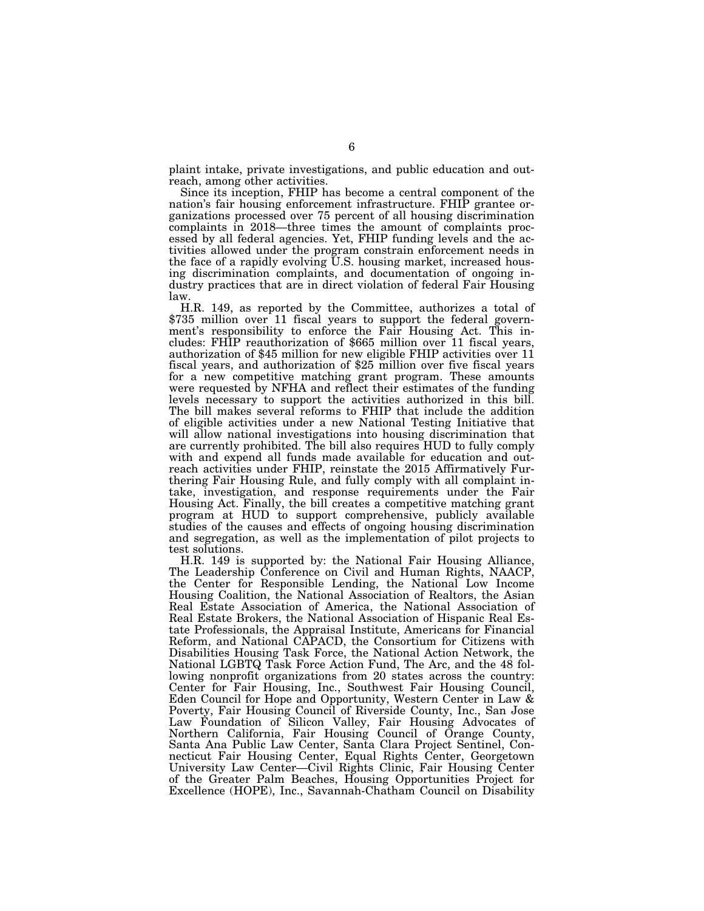plaint intake, private investigations, and public education and outreach, among other activities.

Since its inception, FHIP has become a central component of the nation's fair housing enforcement infrastructure. FHIP grantee organizations processed over 75 percent of all housing discrimination complaints in 2018—three times the amount of complaints processed by all federal agencies. Yet, FHIP funding levels and the activities allowed under the program constrain enforcement needs in the face of a rapidly evolving  $\overline{U}$ .S. housing market, increased housing discrimination complaints, and documentation of ongoing industry practices that are in direct violation of federal Fair Housing law.<br>H.R. 149, as reported by the Committee, authorizes a total of

\$735 million over 11 fiscal years to support the federal government's responsibility to enforce the Fair Housing Act. This includes: FHIP reauthorization of \$665 million over 11 fiscal years, authorization of \$45 million for new eligible FHIP activities over 11 fiscal years, and authorization of \$25 million over five fiscal years for a new competitive matching grant program. These amounts were requested by NFHA and reflect their estimates of the funding levels necessary to support the activities authorized in this bill. The bill makes several reforms to FHIP that include the addition of eligible activities under a new National Testing Initiative that will allow national investigations into housing discrimination that are currently prohibited. The bill also requires HUD to fully comply with and expend all funds made available for education and outreach activities under FHIP, reinstate the 2015 Affirmatively Furthering Fair Housing Rule, and fully comply with all complaint intake, investigation, and response requirements under the Fair Housing Act. Finally, the bill creates a competitive matching grant program at HUD to support comprehensive, publicly available studies of the causes and effects of ongoing housing discrimination and segregation, as well as the implementation of pilot projects to test solutions.

H.R. 149 is supported by: the National Fair Housing Alliance, The Leadership Conference on Civil and Human Rights, NAACP, the Center for Responsible Lending, the National Low Income Housing Coalition, the National Association of Realtors, the Asian Real Estate Association of America, the National Association of Real Estate Brokers, the National Association of Hispanic Real Estate Professionals, the Appraisal Institute, Americans for Financial Reform, and National CAPACD, the Consortium for Citizens with Disabilities Housing Task Force, the National Action Network, the National LGBTQ Task Force Action Fund, The Arc, and the 48 following nonprofit organizations from 20 states across the country: Center for Fair Housing, Inc., Southwest Fair Housing Council, Eden Council for Hope and Opportunity, Western Center in Law & Poverty, Fair Housing Council of Riverside County, Inc., San Jose Law Foundation of Silicon Valley, Fair Housing Advocates of Northern California, Fair Housing Council of Orange County, Santa Ana Public Law Center, Santa Clara Project Sentinel, Connecticut Fair Housing Center, Equal Rights Center, Georgetown University Law Center—Civil Rights Clinic, Fair Housing Center of the Greater Palm Beaches, Housing Opportunities Project for Excellence (HOPE), Inc., Savannah-Chatham Council on Disability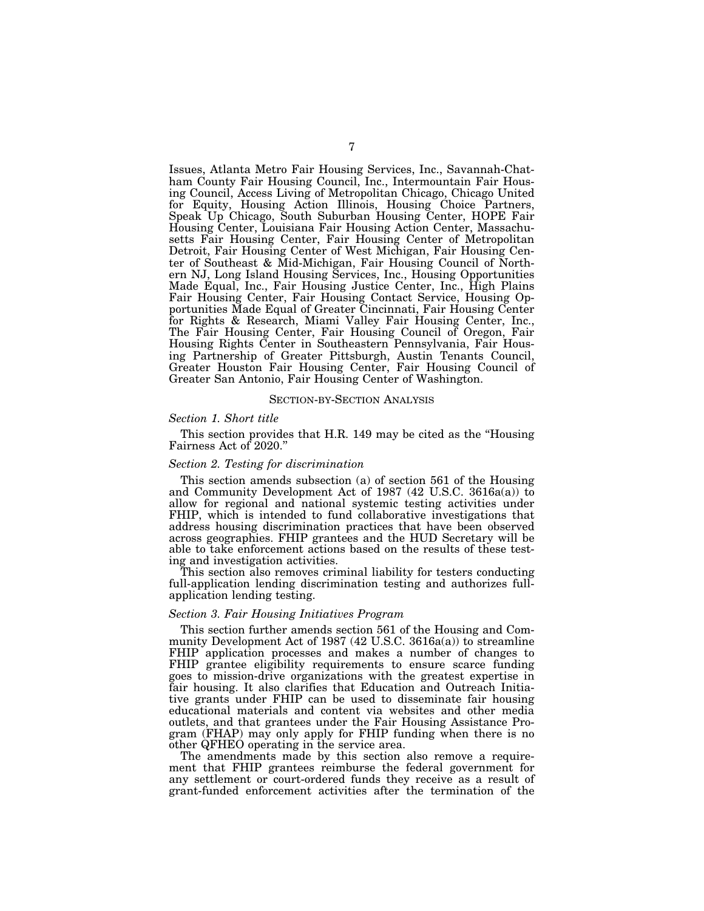Issues, Atlanta Metro Fair Housing Services, Inc., Savannah-Chatham County Fair Housing Council, Inc., Intermountain Fair Housing Council, Access Living of Metropolitan Chicago, Chicago United for Equity, Housing Action Illinois, Housing Choice Partners, Speak Up Chicago, South Suburban Housing Center, HOPE Fair Housing Center, Louisiana Fair Housing Action Center, Massachusetts Fair Housing Center, Fair Housing Center of Metropolitan Detroit, Fair Housing Center of West Michigan, Fair Housing Center of Southeast & Mid-Michigan, Fair Housing Council of Northern NJ, Long Island Housing Services, Inc., Housing Opportunities Made Equal, Inc., Fair Housing Justice Center, Inc., High Plains Fair Housing Center, Fair Housing Contact Service, Housing Opportunities Made Equal of Greater Cincinnati, Fair Housing Center for Rights & Research, Miami Valley Fair Housing Center, Inc., The Fair Housing Center, Fair Housing Council of Oregon, Fair Housing Rights Center in Southeastern Pennsylvania, Fair Housing Partnership of Greater Pittsburgh, Austin Tenants Council, Greater Houston Fair Housing Center, Fair Housing Council of Greater San Antonio, Fair Housing Center of Washington.

#### SECTION-BY-SECTION ANALYSIS

#### *Section 1. Short title*

This section provides that H.R. 149 may be cited as the ''Housing Fairness Act of 2020.''

## *Section 2. Testing for discrimination*

This section amends subsection (a) of section 561 of the Housing and Community Development Act of 1987 (42 U.S.C. 3616a(a)) to allow for regional and national systemic testing activities under FHIP, which is intended to fund collaborative investigations that address housing discrimination practices that have been observed across geographies. FHIP grantees and the HUD Secretary will be able to take enforcement actions based on the results of these testing and investigation activities.

This section also removes criminal liability for testers conducting full-application lending discrimination testing and authorizes fullapplication lending testing.

## *Section 3. Fair Housing Initiatives Program*

This section further amends section 561 of the Housing and Community Development Act of 1987 (42 U.S.C. 3616a(a)) to streamline FHIP application processes and makes a number of changes to FHIP grantee eligibility requirements to ensure scarce funding goes to mission-drive organizations with the greatest expertise in fair housing. It also clarifies that Education and Outreach Initiative grants under FHIP can be used to disseminate fair housing educational materials and content via websites and other media outlets, and that grantees under the Fair Housing Assistance Program (FHAP) may only apply for FHIP funding when there is no other QFHEO operating in the service area.

The amendments made by this section also remove a requirement that FHIP grantees reimburse the federal government for any settlement or court-ordered funds they receive as a result of grant-funded enforcement activities after the termination of the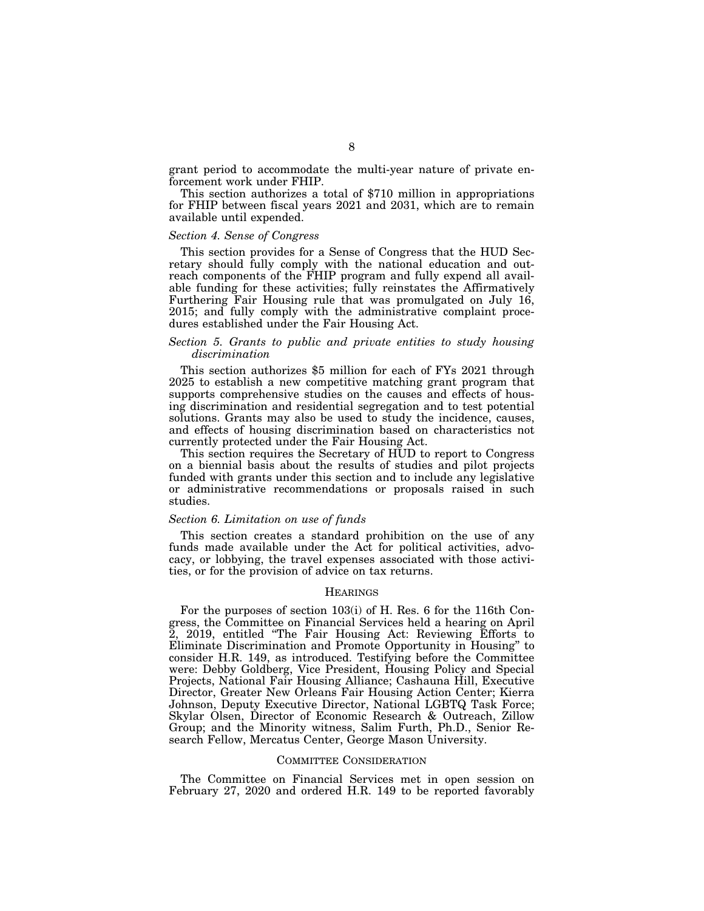grant period to accommodate the multi-year nature of private enforcement work under FHIP.

This section authorizes a total of \$710 million in appropriations for FHIP between fiscal years 2021 and 2031, which are to remain available until expended.

#### *Section 4. Sense of Congress*

This section provides for a Sense of Congress that the HUD Secretary should fully comply with the national education and outreach components of the FHIP program and fully expend all available funding for these activities; fully reinstates the Affirmatively Furthering Fair Housing rule that was promulgated on July 16, 2015; and fully comply with the administrative complaint procedures established under the Fair Housing Act.

## *Section 5. Grants to public and private entities to study housing discrimination*

This section authorizes \$5 million for each of FYs 2021 through 2025 to establish a new competitive matching grant program that supports comprehensive studies on the causes and effects of housing discrimination and residential segregation and to test potential solutions. Grants may also be used to study the incidence, causes, and effects of housing discrimination based on characteristics not currently protected under the Fair Housing Act.

This section requires the Secretary of HUD to report to Congress on a biennial basis about the results of studies and pilot projects funded with grants under this section and to include any legislative or administrative recommendations or proposals raised in such studies.

## *Section 6. Limitation on use of funds*

This section creates a standard prohibition on the use of any funds made available under the Act for political activities, advocacy, or lobbying, the travel expenses associated with those activities, or for the provision of advice on tax returns.

## HEARINGS

For the purposes of section 103(i) of H. Res. 6 for the 116th Congress, the Committee on Financial Services held a hearing on April 2, 2019, entitled ''The Fair Housing Act: Reviewing Efforts to Eliminate Discrimination and Promote Opportunity in Housing'' to consider H.R. 149, as introduced. Testifying before the Committee were: Debby Goldberg, Vice President, Housing Policy and Special Projects, National Fair Housing Alliance; Cashauna Hill, Executive Director, Greater New Orleans Fair Housing Action Center; Kierra Johnson, Deputy Executive Director, National LGBTQ Task Force; Skylar Olsen, Director of Economic Research & Outreach, Zillow Group; and the Minority witness, Salim Furth, Ph.D., Senior Research Fellow, Mercatus Center, George Mason University.

## COMMITTEE CONSIDERATION

The Committee on Financial Services met in open session on February 27, 2020 and ordered H.R. 149 to be reported favorably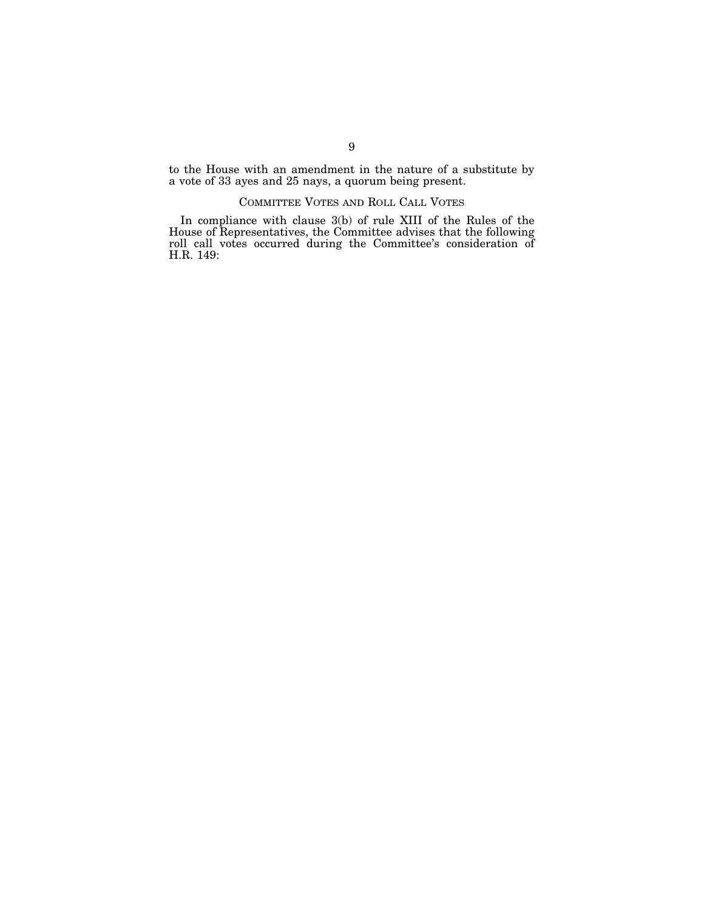to the House with an amendment in the nature of a substitute by a vote of 33 ayes and 25 nays, a quorum being present.

## COMMITTEE VOTES AND ROLL CALL VOTES

In compliance with clause 3(b) of rule XIII of the Rules of the House of Representatives, the Committee advises that the following roll call votes occurred during the Committee's consideration of H.R. 149: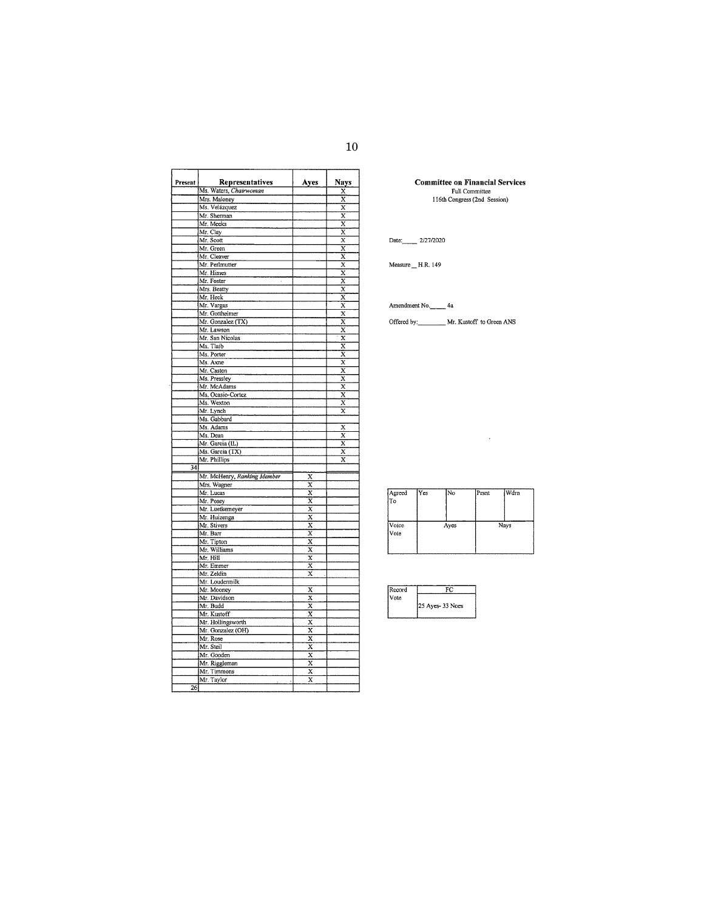| Present | Representatives             | Ayes                    | <b>Nays</b>                  |
|---------|-----------------------------|-------------------------|------------------------------|
|         | Ms. Waters, Chairwoman      |                         | x                            |
|         | Mrs. Maloney                |                         | X                            |
|         | Ms. Velázquez               |                         | X                            |
|         | Mr. Sherman<br>Mr. Meeks    |                         | X<br>$\overline{\mathbf{x}}$ |
|         |                             |                         | $\overline{\mathbf{x}}$      |
|         | Mr. Clay<br>Mr. Scott       |                         | X                            |
|         | Mr. Green                   |                         | $\overline{\text{x}}$        |
|         | Mr. Cleaver                 |                         | X                            |
|         | Mr. Perlmutter              |                         | X                            |
|         | Mr. Himes                   |                         | $\overline{\textbf{x}}$      |
|         | Mr. Foster<br>÷             |                         | X                            |
|         | Mrs. Beatty                 |                         | $\overline{\mathbf{x}}$      |
|         | Mr. Heck                    |                         | x                            |
|         | Mr. Vargas                  |                         | $\overline{\text{x}}$        |
|         | Mr. Gottheimer              |                         | X                            |
|         | Mr. Gonzalez (TX)           |                         | X                            |
|         | Mr. Lawson                  |                         | X                            |
|         | Mr. San Nicolas             |                         | $\overline{\mathbf{x}}$      |
|         | Ms. Tlaib                   |                         | $\overline{\mathbf{x}}$      |
|         | Ms. Porter                  |                         | $\overline{\mathbf{x}}$      |
|         | Ms. Axne                    |                         | X                            |
|         | Mr. Casten                  |                         | $\overline{\mathbf{x}}$      |
|         | Ms. Pressley                |                         | $\overline{\mathbf{x}}$      |
|         | Mr. McAdams                 |                         | $\overline{\text{x}}$        |
|         | Ms. Ocasio-Cortez           |                         | X                            |
|         | Ms. Wexton                  |                         | $\overline{\mathbf{x}}$      |
|         | Mr. Lynch                   |                         | $\overline{\text{x}}$        |
|         | Ms. Gabbard                 |                         |                              |
|         | Ms. Adams                   |                         | X                            |
|         | Ms. Dean                    |                         | ÿ                            |
|         | Mr. Garcia (IL)             |                         | x                            |
|         | Ms. Garcia (TX)             |                         | x                            |
|         | Mr. Phillips                |                         | $\bar{\textbf{x}}$           |
| 34      |                             |                         |                              |
|         | Mr. McHenry, Ranking Member | X                       |                              |
|         | Mrs. Wagner                 | X                       |                              |
|         | Mr. Lucas                   | $\overline{\text{x}}$   |                              |
|         | Mr. Posey                   | $\overline{\mathbf{x}}$ |                              |
|         | Mr. Luetkemeyer             | x                       |                              |
|         | Mr. Huizenga                | x                       |                              |
|         | Mr. Stivers                 | x                       |                              |
|         | Mr. Barr                    | $\overline{\mathbf{x}}$ |                              |
|         | Mr. Tipton                  | X                       |                              |
|         | Mr. Williams                | $\overline{\textbf{x}}$ |                              |
|         | Mr. Hill                    | $\overline{\textbf{x}}$ |                              |
|         | Mr. Emmer                   | x                       |                              |
|         | Mr. Zeldin                  | $\overline{\mathbf{x}}$ |                              |
|         | Mr. Loudermilk              |                         |                              |
|         | Mr. Mooney                  | x                       |                              |
|         | Mr. Davidson                | X                       |                              |
|         | Mr. Budd                    | x                       |                              |
|         | Mr. Kustoff                 | $\overline{\mathbf{x}}$ |                              |
|         | Mr. Hollingsworth           | $\overline{\textbf{x}}$ |                              |
|         | Mr. Gonzalez (OH)           | $\overline{\textbf{x}}$ |                              |
|         | Mr. Rose                    | X                       |                              |
|         | Mr. Steil                   | $\overline{\mathbf{x}}$ |                              |
|         | Mr. Gooden                  | X                       |                              |
|         | Mr. Riggleman               | X                       |                              |
|         | Mr. Timmons                 | $\overline{\mathbf{x}}$ |                              |
|         | Mr. Taylor                  | $\overline{\mathbf{x}}$ |                              |
| 26      |                             |                         |                              |
|         |                             |                         |                              |

**Committee on Financial Services**<br>Full Committee<br>116th Congress (2nd Session)

Date:\_\_\_\_\_\_ 2/27/2020

Measure  $\_$  H.R. 149

Amendment No. 4a

Offered by: \_\_\_\_\_\_\_\_\_\_ Mr. Kustoff to Green ANS

| Agreed<br>ITo | Yes | No   | Prsnt | Wdrn |
|---------------|-----|------|-------|------|
| Voice<br>Vote |     | Ayes |       | Nays |

 $\sim 10^{11}$ 

| Record | FС               |
|--------|------------------|
| Vote   |                  |
|        | 25 Ayes- 33 Noes |
|        |                  |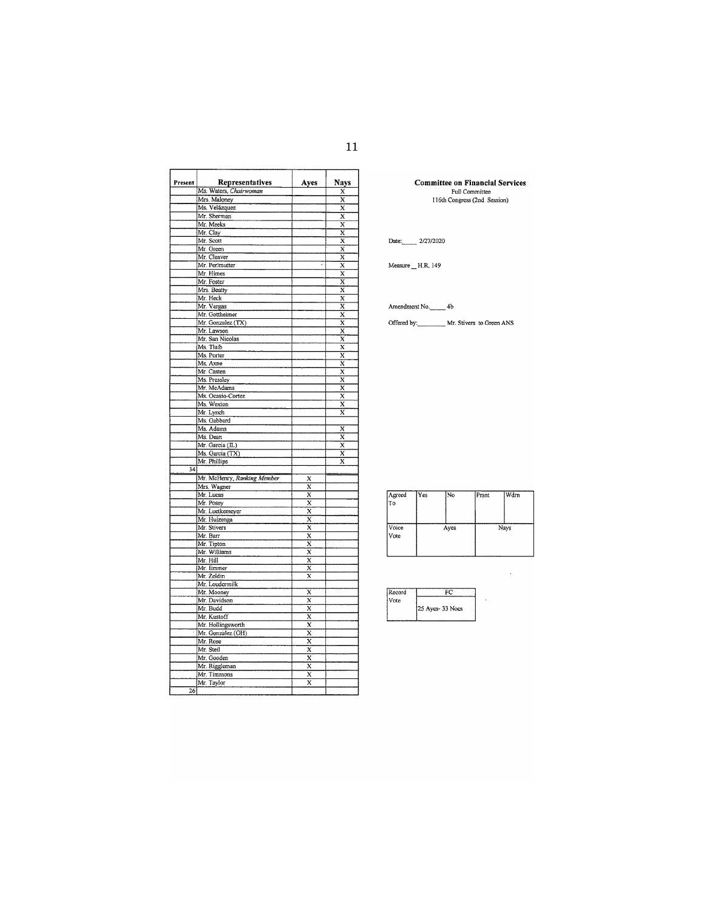| Present         | Representatives<br>Ms. Waters, Chairwoman | Ayes                    | Nays<br>х                                          |
|-----------------|-------------------------------------------|-------------------------|----------------------------------------------------|
|                 | Mrs. Maloney                              |                         | $\overline{\textbf{x}}$                            |
|                 | Ms. Velázquez                             |                         | X                                                  |
|                 | Mr. Sherman                               |                         | x                                                  |
|                 | Mr. Meeks                                 |                         | $\overline{\textbf{x}}$                            |
|                 | Mr. Clay                                  |                         |                                                    |
|                 | Mr. Scott                                 |                         | $\overline{\mathbf{x}}$<br>x                       |
|                 |                                           |                         |                                                    |
|                 | Mr. Green                                 |                         | $\overline{\mathbf{x}}$                            |
|                 | Mr. Cleaver<br>Mr. Perlmutter             |                         | X                                                  |
|                 | Mr. Himes                                 |                         | $\overline{\mathbf{x}}$                            |
|                 |                                           |                         | $\overline{\mathbf{x}}$<br>$\overline{\mathbf{x}}$ |
|                 | Mr. Foster                                |                         |                                                    |
|                 | Mrs. Beatty                               |                         | $\overline{\mathrm{x}}$                            |
|                 | Mr. Heck                                  |                         | $\overline{\mathbf{x}}$                            |
|                 | Mr. Vargas                                |                         | X                                                  |
|                 | Mr. Gottheimer                            |                         | $\overline{\mathbf{x}}$                            |
|                 | Mr. Gonzalez (TX)                         |                         | $\overline{\mathbf{x}}$                            |
|                 | Mr. Lawson                                |                         | X                                                  |
|                 | Mr. San Nicolas                           |                         | $\bar{\mathrm{x}}$                                 |
|                 | Ms. Tlaib                                 |                         | $\overline{\mathbf{x}}$                            |
|                 | Ms. Porter                                |                         | X                                                  |
|                 | Ms. Axne                                  |                         | X                                                  |
|                 | Mr. Casten                                |                         | X                                                  |
|                 | Ms. Pressley                              |                         | $\overline{\mathbf{x}}$                            |
|                 | Mr. McAdams                               |                         | x                                                  |
|                 | Ms. Ocasio-Cortez                         |                         | $\overline{\textbf{x}}$                            |
|                 | Ms. Wexton                                |                         | X                                                  |
|                 | Mr. Lynch                                 |                         | x                                                  |
|                 | Ms. Gabbard                               |                         |                                                    |
|                 | Ms. Adams                                 |                         |                                                    |
|                 | Ms. Dean                                  |                         | $\overline{\mathbf{x}}$                            |
|                 | Mr. Garcia (IL)                           |                         | $\overline{\mathbf{x}}$                            |
|                 | Ms. Garcia (TX)                           |                         | $\overline{\mathrm{x}}$                            |
|                 | Mr. Phillips                              |                         | X                                                  |
| 34              |                                           |                         |                                                    |
|                 | Mr. McHenry, Ranking Member               | X                       |                                                    |
|                 | Mrs. Wagner                               | $\overline{x}$          |                                                    |
|                 | Mr. Lucas                                 | $\overline{x}$          |                                                    |
|                 | Mr. Posey                                 | $\overline{\mathbf{x}}$ |                                                    |
|                 | Mr. Luetkemeyer                           | $\bar{\mathbf{x}}$      |                                                    |
|                 | Mr. Huizenga                              | $\overline{x}$          |                                                    |
|                 | Mr. Stivers                               | $\overline{\mathbf{x}}$ |                                                    |
|                 | Mr. Barr                                  | $\overline{\mathbf{x}}$ |                                                    |
|                 | Mr. Tipton                                | x                       |                                                    |
|                 | Mr. Williams                              | $\overline{\mathbf{x}}$ |                                                    |
|                 | Mr. Hill                                  | $\overline{\text{x}}$   |                                                    |
|                 | Mr. Emmer                                 | $\overline{\mathbf{x}}$ |                                                    |
|                 | Mr. Zeldin                                | X                       |                                                    |
|                 | Mr. Loudermilk                            |                         |                                                    |
|                 | Mr. Mooney                                | $\overline{\mathbf{x}}$ |                                                    |
|                 |                                           | x                       |                                                    |
|                 | Mr. Davidson<br>Mr. Budd                  | $\bar{x}$               |                                                    |
|                 |                                           | $\overline{\text{x}}$   |                                                    |
|                 | Mr. Kustoff                               |                         |                                                    |
|                 | Mr. Hollingsworth                         | $\overline{\mathbf{x}}$ |                                                    |
|                 | Mr. Gonzalez (OH)                         | X                       |                                                    |
|                 | Mr. Rose                                  | $\overline{\mathbf{x}}$ |                                                    |
|                 | Mr. Steil                                 | $\overline{\mathbf{x}}$ |                                                    |
|                 | Mr. Gooden                                | $\bar{\mathbf{x}}$      |                                                    |
|                 | Mr. Riggleman                             | $\overline{\mathbf{x}}$ |                                                    |
|                 | Mr. Timmons                               | $\overline{\mathbf{x}}$ |                                                    |
|                 | Mr. Taylor                                | ≅                       |                                                    |
| $\overline{26}$ |                                           |                         |                                                    |

**Committee on Financial Services**<br>Full Committee<br>116th Congress (2nd Session)

Date:\_\_\_\_\_\_ 2/27/2020

Measure \_H.R. 149

Amendment No. 4b

Offered by: \_\_\_\_\_\_\_\_\_ Mr. Stivers to Green ANS

| Agreed<br>To  | Yes | No   | Prsnt | Wdrn |
|---------------|-----|------|-------|------|
| Voice<br>Vote |     | Ayes |       | Nays |

 $\sim 10^7$ 

| Record |                 |  |
|--------|-----------------|--|
| Vote   |                 |  |
|        | 25 Ayes-33 Noes |  |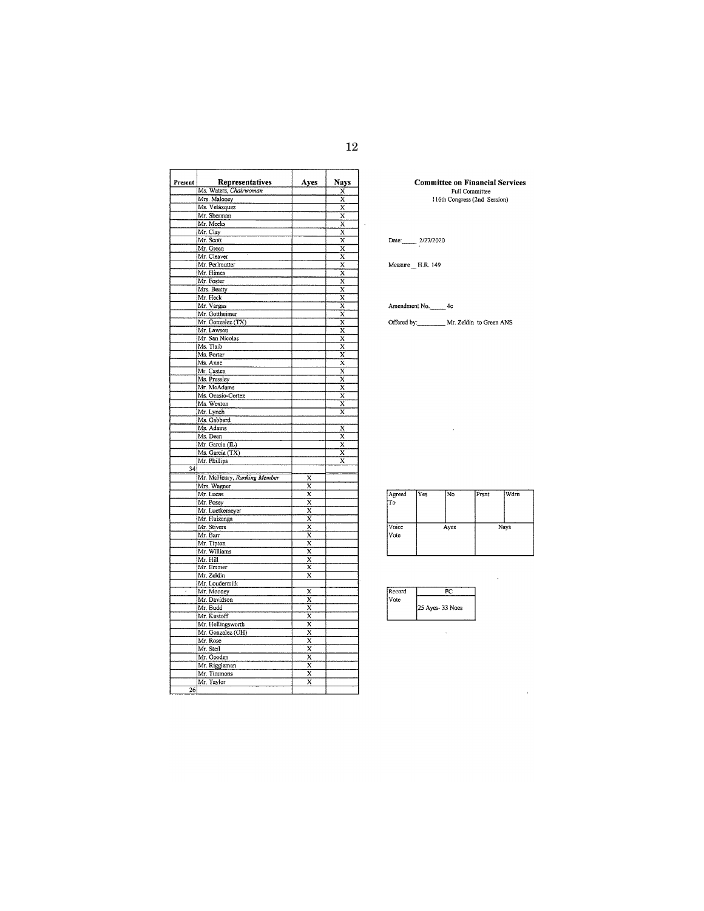| __ |
|----|
|    |

| Present         | Representatives                        | Ayes                    | Nays                                             |
|-----------------|----------------------------------------|-------------------------|--------------------------------------------------|
|                 | Ms. Waters, Chairwoman<br>Mrs. Maloney |                         | X<br>$\overline{\textbf{x}}$                     |
|                 | Ms. Velázquez                          |                         |                                                  |
|                 |                                        |                         | $\overline{\mathbf{x}}$                          |
|                 | Mr. Sherman                            |                         | $\overline{\mathbf{x}}$                          |
|                 | Mr. Meeks                              |                         | X                                                |
|                 | Mr. Clay<br>Mr. Scott                  |                         | $\overline{\mathbf{x}}$<br>$\overline{\text{x}}$ |
|                 |                                        |                         |                                                  |
|                 | Mr. Green                              |                         | X                                                |
|                 | Mr. Cleaver                            |                         | X                                                |
|                 | Mr. Perlmutter                         |                         | X                                                |
|                 | Mr. Himes                              |                         | x                                                |
|                 | Mr. Foster                             |                         | $\overline{\mathbf{x}}$                          |
|                 | Mrs. Beatty                            |                         | X                                                |
|                 | Mr. Heck                               |                         | $\overline{\mathbf{x}}$                          |
|                 | Mr. Vargas                             |                         | X                                                |
|                 | Mr. Gottheimer                         |                         | X                                                |
|                 | Mr. Gonzalez (TX)                      |                         | $\overline{\mathbf{x}}$                          |
|                 | Mr. Lawson                             |                         | $\overline{\mathbf{x}}$                          |
|                 | Mr. San Nicolas                        |                         | X                                                |
|                 | Ms. Tlaib                              |                         | $\overline{\mathbf{x}}$                          |
|                 | Ms. Porter                             |                         | $\overline{\mathbf{x}}$                          |
|                 | Ms. Axne                               |                         | X                                                |
|                 | Mr. Casten                             |                         | $\overline{\mathbf{x}}$                          |
|                 | Ms. Pressley                           |                         | $\overline{\mathbf{x}}$                          |
|                 | Mr. McAdams                            |                         | X                                                |
|                 | Ms. Ocasio-Cortez                      |                         | $\bar{\mathbf{x}}$                               |
|                 | Ms. Wexton                             |                         | X                                                |
|                 | Mr. Lynch                              |                         | $\overline{\mathbf{x}}$                          |
|                 | Ms. Gabbard                            |                         |                                                  |
|                 | Ms. Adams                              |                         | X                                                |
|                 | Ms. Dean                               |                         | X                                                |
|                 | Mr. Garcia (IL)                        |                         | $\overline{\mathbf{x}}$                          |
|                 | Ms. Garcia (TX)                        |                         | $\overline{\mathbf{x}}$                          |
|                 | Mr. Phillips                           |                         | X                                                |
| $\overline{34}$ |                                        |                         |                                                  |
|                 | Mr. McHenry, Ranking Member            | X                       |                                                  |
|                 | Mrs. Wagner                            | X                       |                                                  |
|                 | Mr. Lucas                              | $\overline{\mathbf{x}}$ |                                                  |
|                 | Mr. Posey                              | $\overline{\mathbf{x}}$ |                                                  |
|                 | Mr. Luetkemeyer                        | $\overline{\mathrm{x}}$ |                                                  |
|                 | Mr. Huizenga                           | $\overline{\mathbf{x}}$ |                                                  |
|                 | Mr. Stivers                            | X                       |                                                  |
|                 | Mr. Barr                               | $\overline{\text{x}}$   |                                                  |
|                 | Mr. Tipton                             | $\overline{\mathbf{x}}$ |                                                  |
|                 | Mr. Williams                           | X                       |                                                  |
|                 | Mr. Hill                               | $\overline{\text{x}}$   |                                                  |
|                 | Mr. Emmer                              | x                       |                                                  |
|                 | Mr. Zeldin                             | $\overline{\mathrm{x}}$ |                                                  |
|                 | Mr. Loudermilk                         |                         |                                                  |
| ¥               | Mr. Mooney                             | X                       |                                                  |
|                 | Mr. Davidson                           | $\overline{\mathbf{x}}$ |                                                  |
|                 | Mr. Budd                               | $\overline{\mathbf{x}}$ |                                                  |
|                 | Mr. Kustoff                            | $\overline{\mathbf{x}}$ |                                                  |
|                 | Mr. Hollingsworth                      | $\overline{\textbf{x}}$ |                                                  |
|                 | Mr. Gonzalez (OH)                      | $\overline{\mathbf{x}}$ |                                                  |
|                 | Mr. Rose                               | $\overline{\mathbf{x}}$ |                                                  |
|                 | Mr. Steil                              | $\overline{\mathbf{x}}$ |                                                  |
|                 | Mr. Gooden                             | $\overline{\mathbf{x}}$ |                                                  |
|                 | Mr. Riggleman                          | X                       |                                                  |
|                 | Mr. Timmons                            | x                       |                                                  |
|                 | Mr. Taylor                             | $\overline{\text{x}}$   |                                                  |
| 26              |                                        |                         |                                                  |

**Committee on Financial Services**<br>Full Committee<br>116th Congress (2nd Session)

Date:\_\_\_\_\_\_ 2/27/2020

Measure \_ H.R. 149

Amendment No. 4c

Offered by: Mr. Zeldin to Green ANS

| Agreed<br>To  | Yes | No   | Prsnt | Wdrn |
|---------------|-----|------|-------|------|
| Voice<br>Vote |     | Ayes |       | Nays |

 $\sim$ 

 $\sim 10^{-10}$ 

 $\sim 10^{11}$  km s  $^{-1}$ 

| 25 Ayes-33 Noes |  |  |  |
|-----------------|--|--|--|
|                 |  |  |  |

 $\sim 10^7$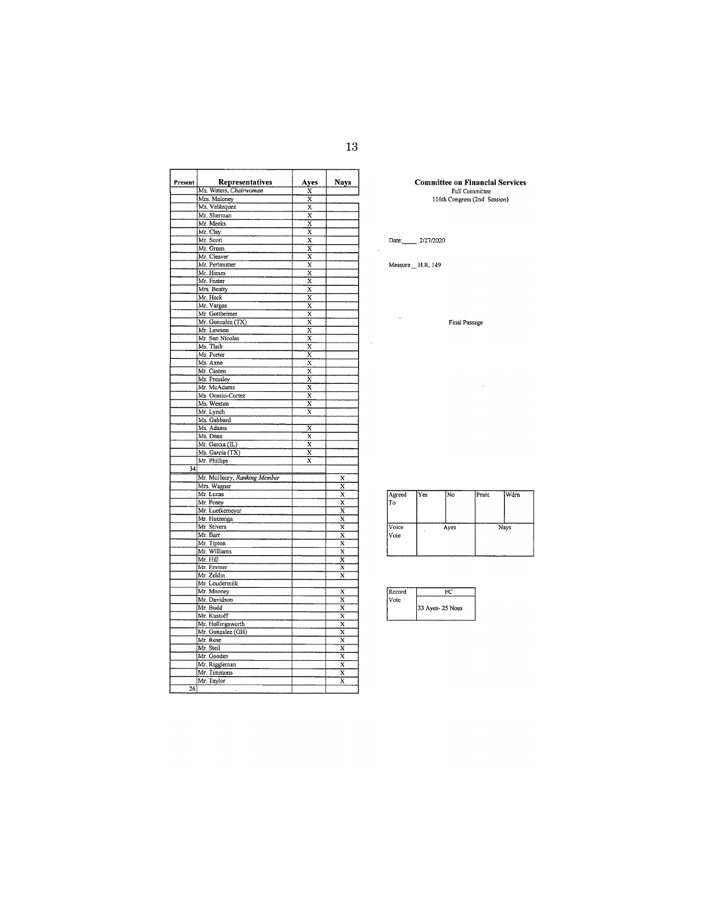| 13 |
|----|
|    |

| Present | Representatives             | Ayes                    | <b>Nays</b>             |
|---------|-----------------------------|-------------------------|-------------------------|
|         | Ms. Waters, Chairwoman      | X                       |                         |
|         | Mrs. Maloney                | $\overline{\textbf{x}}$ |                         |
|         | Ms. Velázquez               | $\overline{\mathbf{x}}$ |                         |
|         | Mr. Sherman                 | $\overline{\mathbf{x}}$ |                         |
|         | Mr. Meeks                   | X                       |                         |
|         | Mr. Clay                    | $\overline{\mathbf{x}}$ |                         |
|         | Mr. Scott                   | x                       |                         |
|         | Mr. Green                   | X                       |                         |
|         | Mr. Cleaver                 | $\overline{\mathbf{x}}$ |                         |
|         | Mr. Perlmutter              | x                       |                         |
|         | Mr. Himes                   | X                       |                         |
|         | Mr. Foster                  | $\overline{\mathbf{x}}$ |                         |
|         | Mrs. Beatty                 | x                       |                         |
|         | Mr. Heck                    | X                       |                         |
|         | Mr. Vargas                  | $\bar{\mathrm{x}}$      |                         |
|         |                             |                         |                         |
|         | Mr. Gottheimer              | x                       |                         |
|         | Mr. Gonzalez (TX)           | X                       |                         |
|         | Mr. Lawson                  | $\overline{\mathbf{x}}$ |                         |
|         | Mr. San Nicolas             | X                       |                         |
|         | Ms. Tlaib                   | x                       |                         |
|         | Ms. Porter                  | x                       |                         |
|         | Ms. Axne                    | X                       |                         |
|         | Mr. Casten                  | $\overline{\textbf{x}}$ |                         |
|         | Ms. Pressley                | $\overline{\mathrm{x}}$ |                         |
|         | Mr. McAdams                 | x                       |                         |
|         | Ms. Ocasio-Cortez           | $\overline{\textbf{x}}$ |                         |
|         | Ms. Wexton                  | $\overline{\mathbf{x}}$ |                         |
|         | Mr. Lynch                   | $\bar{\mathbf{x}}$      |                         |
|         | Ms. Gabbard                 |                         |                         |
|         | Ms. Adams                   | $\overline{\mathbf{x}}$ |                         |
|         |                             |                         |                         |
|         | Ms. Dean                    | X                       |                         |
|         | Mr. Garcia (IL)             | $\overline{\mathbf{x}}$ |                         |
|         | Ms. Garcia (TX)             | $\overline{\textbf{x}}$ |                         |
|         | Mr. Phillips                | X                       |                         |
| 34      |                             |                         |                         |
|         | Mr. McHenry, Ranking Member |                         | X                       |
|         | Mrs. Wagner                 |                         | $\overline{\text{x}}$   |
|         | Mr. Lucas                   |                         | $\overline{\textbf{x}}$ |
|         | Mr. Posey                   |                         | $\overline{\mathbf{x}}$ |
|         | Mr. Luetkemeyer             |                         | X                       |
|         | Mr. Huizenga                |                         | $\overline{\mathbf{x}}$ |
|         | Mr. Stivers                 |                         | $\bar{\mathbf{x}}$      |
|         | Mr. Barr                    |                         | x                       |
|         | Mr. Tipton                  |                         | X                       |
|         | Mr. Williams                |                         |                         |
|         |                             |                         | X                       |
|         | Mr. Hill                    |                         | X                       |
|         | Mr. Emmer                   |                         | $\overline{\mathbf{x}}$ |
|         | Mr. Zeldin                  |                         | $\overline{\mathbf{x}}$ |
|         | Mr. Loudermilk              |                         |                         |
|         | Mr. Mooney                  |                         | x                       |
|         | Mr. Davidson                |                         | X                       |
|         | Mr. Budd                    |                         | X                       |
|         | Mr. Kustoff                 |                         | X                       |
|         | Mr. Hollingsworth           |                         | X                       |
|         | Mr. Gonzalez (OH)           |                         | X                       |
|         | Mr. Rose                    |                         | X                       |
|         | Mr. Steil                   |                         |                         |
|         |                             |                         | X                       |
|         | Mr. Gooden                  |                         | $\overline{\mathbf{x}}$ |
|         | Mr. Riggleman               |                         | X                       |
|         | Mr. Timmons                 |                         | x                       |
|         | Mr. Taylor                  |                         | $\overline{\mathrm{x}}$ |
| 26      |                             |                         |                         |

# **Committee on Financial Services**<br>Full Committee<br>116th Congress (2nd Session)

## Date: 2/27/2020

Measure \_\_ H.R. 149

## $\overline{\phantom{a}}$  Final Passage

 $\label{eq:2.1} \frac{1}{\sqrt{2}}\int_{\mathbb{R}^3}\frac{1}{\sqrt{2}}\left(\frac{1}{\sqrt{2}}\right)^2\frac{1}{\sqrt{2}}\left(\frac{1}{\sqrt{2}}\right)^2\frac{1}{\sqrt{2}}\left(\frac{1}{\sqrt{2}}\right)^2\frac{1}{\sqrt{2}}\left(\frac{1}{\sqrt{2}}\right)^2.$ 

 $\fbox{Agreed} \fbox{To}$  $\overline{\text{No}}$ Prsnt Wdrn Yes  $\begin{array}{c}\n\hline\n\text{Voice} \\
\hline\n\text{Voie}\n\end{array}$ Ayes Nays

| Record |                  |
|--------|------------------|
| Vote   |                  |
|        | 33 Ayes- 25 Noes |
|        |                  |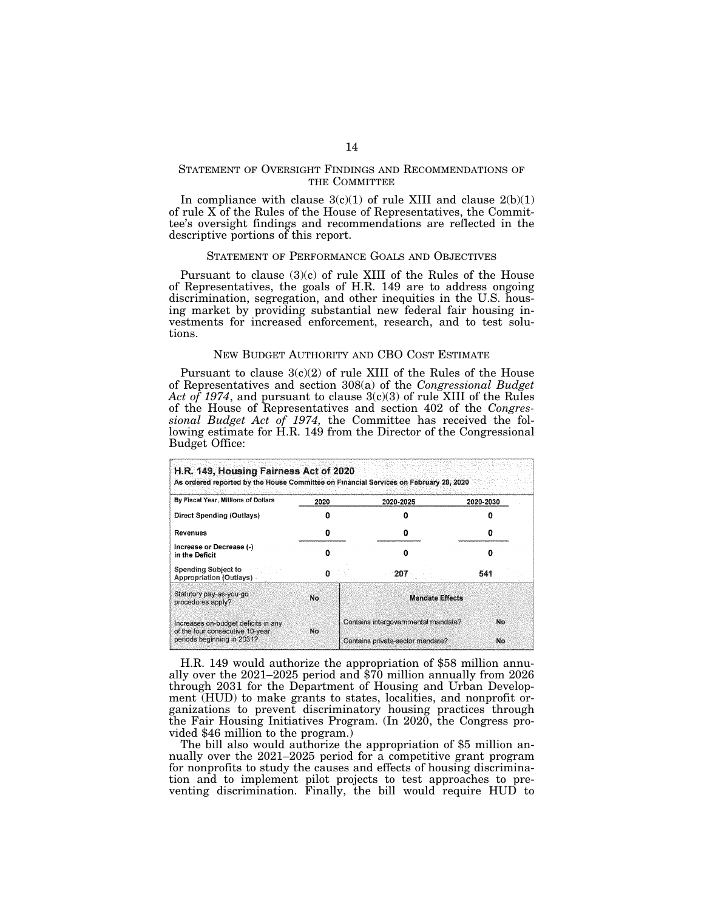## STATEMENT OF OVERSIGHT FINDINGS AND RECOMMENDATIONS OF THE COMMITTEE

In compliance with clause  $3(c)(1)$  of rule XIII and clause  $2(b)(1)$ of rule X of the Rules of the House of Representatives, the Committee's oversight findings and recommendations are reflected in the descriptive portions of this report.

## STATEMENT OF PERFORMANCE GOALS AND OBJECTIVES

Pursuant to clause  $(3)(c)$  of rule XIII of the Rules of the House of Representatives, the goals of H.R. 149 are to address ongoing discrimination, segregation, and other inequities in the U.S. housing market by providing substantial new federal fair housing investments for increased enforcement, research, and to test solutions.

## NEW BUDGET AUTHORITY AND CBO COST ESTIMATE

Pursuant to clause  $3(c)(2)$  of rule XIII of the Rules of the House of Representatives and section 308(a) of the *Congressional Budget*  Act of 1974, and pursuant to clause  $3(c)(3)$  of rule XIII of the Rules of the House of Representatives and section 402 of the *Congressional Budget Act of 1974,* the Committee has received the following estimate for H.R. 149 from the Director of the Congressional Budget Office:

| By Fiscal Year, Millions of Dollars                           | 2020 | 2020-2025                           | 2020-2030 |  |
|---------------------------------------------------------------|------|-------------------------------------|-----------|--|
| Direct Spending (Outlays)                                     |      |                                     |           |  |
| <b>Revenues</b>                                               | o    |                                     |           |  |
| Increase or Decrease (-)<br>in the Deficit                    | n    |                                     |           |  |
| Spending Subject to<br>Appropriation (Outlays) -              |      | 207.                                | 541       |  |
| Statutory pay-as-you-go<br>procedures apply?                  | No.  | <b>Mandate Effects</b>              |           |  |
| Increases on-budget deficits in any                           | No   | Contains intergovernmental mandate? | No        |  |
| of the four consecutive 10-year<br>periods beginning in 2031? |      | Contains private-sector mandate?    | No        |  |

H.R. 149 would authorize the appropriation of \$58 million annually over the 2021–2025 period and \$70 million annually from 2026 through 2031 for the Department of Housing and Urban Development (HUD) to make grants to states, localities, and nonprofit organizations to prevent discriminatory housing practices through the Fair Housing Initiatives Program. (In 2020, the Congress provided \$46 million to the program.)

The bill also would authorize the appropriation of \$5 million annually over the 2021–2025 period for a competitive grant program for nonprofits to study the causes and effects of housing discrimination and to implement pilot projects to test approaches to preventing discrimination. Finally, the bill would require HUD to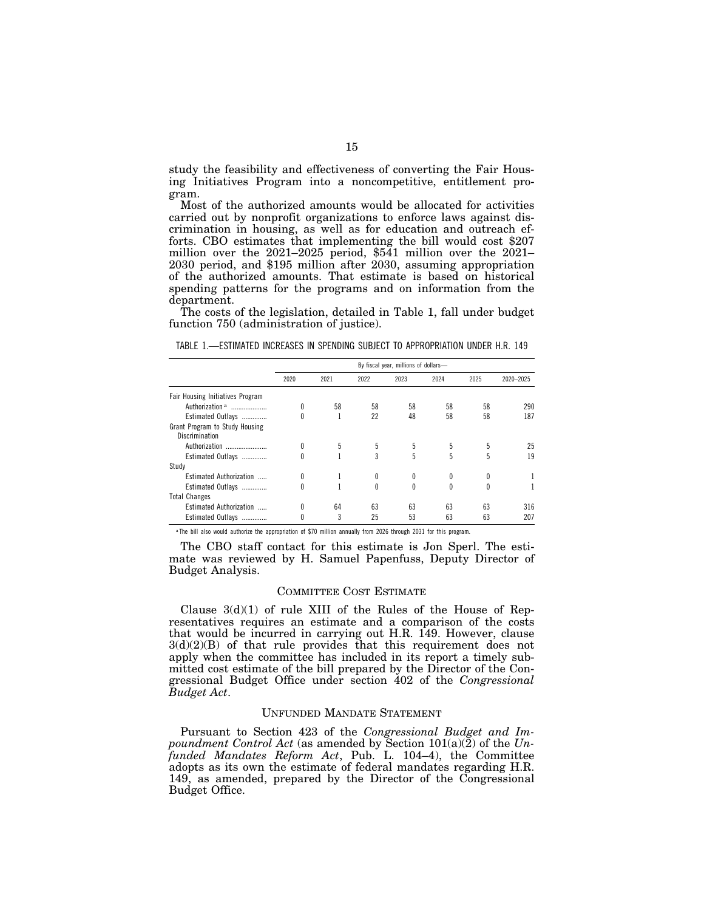study the feasibility and effectiveness of converting the Fair Housing Initiatives Program into a noncompetitive, entitlement program.

Most of the authorized amounts would be allocated for activities carried out by nonprofit organizations to enforce laws against discrimination in housing, as well as for education and outreach efforts. CBO estimates that implementing the bill would cost \$207 million over the 2021–2025 period, \$541 million over the 2021– 2030 period, and \$195 million after 2030, assuming appropriation of the authorized amounts. That estimate is based on historical spending patterns for the programs and on information from the department.

The costs of the legislation, detailed in Table 1, fall under budget function 750 (administration of justice).

| TABLE 1.—ESTIMATED INCREASES IN SPENDING SUBJECT TO APPROPRIATION UNDER H.R. 149 |  |  |  |
|----------------------------------------------------------------------------------|--|--|--|
|                                                                                  |  |  |  |

|                                                         | By fiscal year, millions of dollars- |      |      |      |      |      |           |
|---------------------------------------------------------|--------------------------------------|------|------|------|------|------|-----------|
|                                                         | 2020                                 | 2021 | 2022 | 2023 | 2024 | 2025 | 2020-2025 |
| <b>Fair Housing Initiatives Program</b>                 |                                      |      |      |      |      |      |           |
| Authorization a                                         | 0                                    | 58   | 58   | 58   | 58   | 58   | 290       |
| Estimated Outlays                                       | 0                                    |      | 22   | 48   | 58   | 58   | 187       |
| Grant Program to Study Housing<br><b>Discrimination</b> |                                      |      |      |      |      |      |           |
| Authorization                                           |                                      | 5    | 5    | 5    | 5    | 5    | 25        |
| Estimated Outlays                                       | 0                                    |      | 3    | 5    | 5    | 5    | 19        |
| Study                                                   |                                      |      |      |      |      |      |           |
| Estimated Authorization                                 |                                      |      |      | 0    | 0    |      |           |
| Estimated Outlays                                       |                                      |      | 0    | 0    | 0    |      |           |
| <b>Total Changes</b>                                    |                                      |      |      |      |      |      |           |
| Estimated Authorization                                 | 0                                    | 64   | 63   | 63   | 63   | 63   | 316       |
| Estimated Outlays                                       |                                      | 3    | 25   | 53   | 63   | 63   | 207       |

a The bill also would authorize the appropriation of \$70 million annually from 2026 through 2031 for this program.

The CBO staff contact for this estimate is Jon Sperl. The estimate was reviewed by H. Samuel Papenfuss, Deputy Director of Budget Analysis.

## COMMITTEE COST ESTIMATE

Clause  $3(d)(1)$  of rule XIII of the Rules of the House of Representatives requires an estimate and a comparison of the costs that would be incurred in carrying out H.R. 149. However, clause  $3(d)(2)(B)$  of that rule provides that this requirement does not apply when the committee has included in its report a timely submitted cost estimate of the bill prepared by the Director of the Congressional Budget Office under section 402 of the *Congressional Budget Act*.

## UNFUNDED MANDATE STATEMENT

Pursuant to Section 423 of the *Congressional Budget and Impoundment Control Act* (as amended by Section 101(a)(2) of the *Unfunded Mandates Reform Act*, Pub. L. 104–4), the Committee adopts as its own the estimate of federal mandates regarding H.R. 149, as amended, prepared by the Director of the Congressional Budget Office.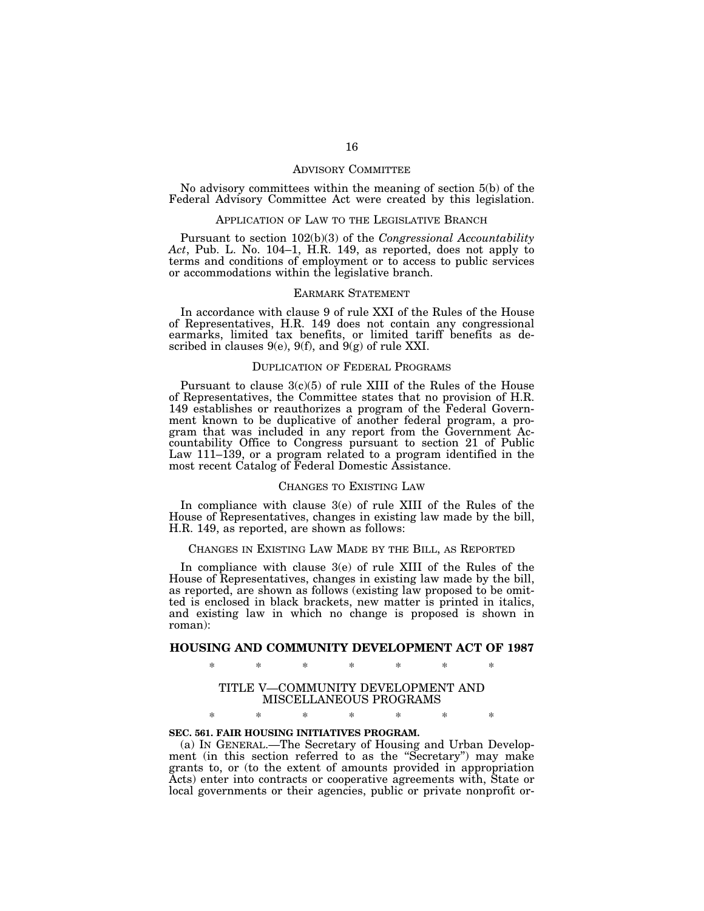## ADVISORY COMMITTEE

No advisory committees within the meaning of section 5(b) of the Federal Advisory Committee Act were created by this legislation.

## APPLICATION OF LAW TO THE LEGISLATIVE BRANCH

Pursuant to section 102(b)(3) of the *Congressional Accountability Act*, Pub. L. No. 104–1, H.R. 149, as reported, does not apply to terms and conditions of employment or to access to public services or accommodations within the legislative branch.

## EARMARK STATEMENT

In accordance with clause 9 of rule XXI of the Rules of the House of Representatives, H.R. 149 does not contain any congressional earmarks, limited tax benefits, or limited tariff benefits as described in clauses  $9(e)$ ,  $9(f)$ , and  $9(g)$  of rule XXI.

## DUPLICATION OF FEDERAL PROGRAMS

Pursuant to clause  $3(c)(5)$  of rule XIII of the Rules of the House of Representatives, the Committee states that no provision of H.R. 149 establishes or reauthorizes a program of the Federal Government known to be duplicative of another federal program, a program that was included in any report from the Government Accountability Office to Congress pursuant to section 21 of Public Law 111–139, or a program related to a program identified in the most recent Catalog of Federal Domestic Assistance.

## CHANGES TO EXISTING LAW

In compliance with clause 3(e) of rule XIII of the Rules of the House of Representatives, changes in existing law made by the bill, H.R. 149, as reported, are shown as follows:

## CHANGES IN EXISTING LAW MADE BY THE BILL, AS REPORTED

In compliance with clause 3(e) of rule XIII of the Rules of the House of Representatives, changes in existing law made by the bill, as reported, are shown as follows (existing law proposed to be omitted is enclosed in black brackets, new matter is printed in italics, and existing law in which no change is proposed is shown in roman):

## **HOUSING AND COMMUNITY DEVELOPMENT ACT OF 1987**  \* \* \* \* \* \* \*

## TITLE V—COMMUNITY DEVELOPMENT AND MISCELLANEOUS PROGRAMS

\* \* \* \* \* \* \*

## **SEC. 561. FAIR HOUSING INITIATIVES PROGRAM.**

(a) IN GENERAL.—The Secretary of Housing and Urban Development (in this section referred to as the ''Secretary'') may make grants to, or (to the extent of amounts provided in appropriation Acts) enter into contracts or cooperative agreements with, State or local governments or their agencies, public or private nonprofit or-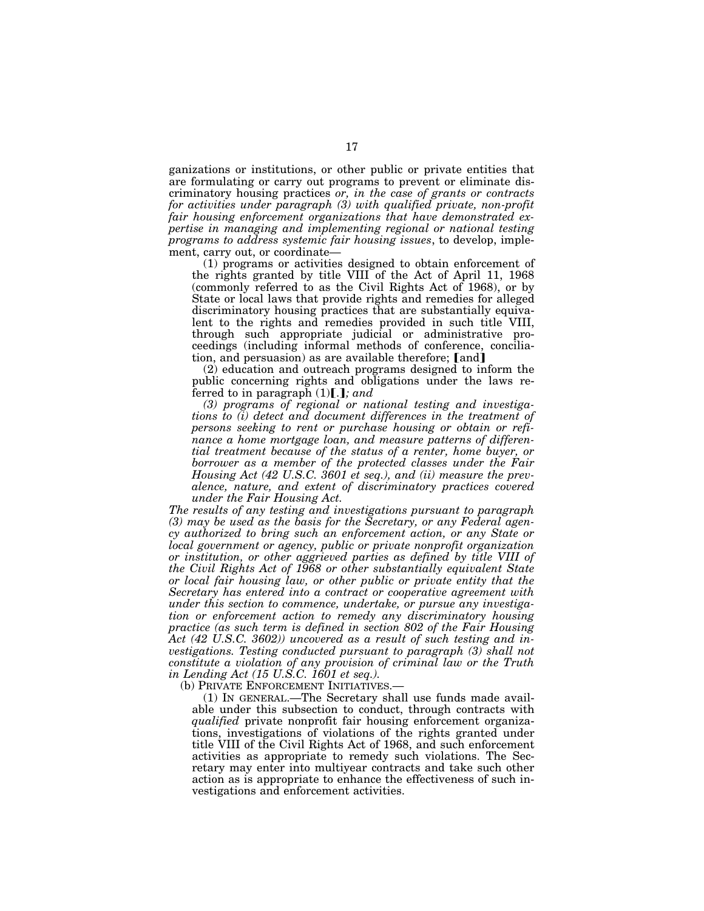ganizations or institutions, or other public or private entities that are formulating or carry out programs to prevent or eliminate discriminatory housing practices *or, in the case of grants or contracts for activities under paragraph (3) with qualified private, non-profit fair housing enforcement organizations that have demonstrated expertise in managing and implementing regional or national testing programs to address systemic fair housing issues*, to develop, implement, carry out, or coordinate—

(1) programs or activities designed to obtain enforcement of the rights granted by title VIII of the Act of April 11, 1968 (commonly referred to as the Civil Rights Act of 1968), or by State or local laws that provide rights and remedies for alleged discriminatory housing practices that are substantially equivalent to the rights and remedies provided in such title VIII, through such appropriate judicial or administrative proceedings (including informal methods of conference, conciliation, and persuasion) as are available therefore; [and]

(2) education and outreach programs designed to inform the public concerning rights and obligations under the laws referred to in paragraph  $(1)[.]$ *; and* 

*(3) programs of regional or national testing and investigations to (i) detect and document differences in the treatment of persons seeking to rent or purchase housing or obtain or refinance a home mortgage loan, and measure patterns of differential treatment because of the status of a renter, home buyer, or borrower as a member of the protected classes under the Fair Housing Act (42 U.S.C. 3601 et seq.), and (ii) measure the prevalence, nature, and extent of discriminatory practices covered under the Fair Housing Act.* 

*The results of any testing and investigations pursuant to paragraph (3) may be used as the basis for the Secretary, or any Federal agency authorized to bring such an enforcement action, or any State or local government or agency, public or private nonprofit organization or institution, or other aggrieved parties as defined by title VIII of the Civil Rights Act of 1968 or other substantially equivalent State or local fair housing law, or other public or private entity that the Secretary has entered into a contract or cooperative agreement with under this section to commence, undertake, or pursue any investigation or enforcement action to remedy any discriminatory housing practice (as such term is defined in section 802 of the Fair Housing Act (42 U.S.C. 3602)) uncovered as a result of such testing and investigations. Testing conducted pursuant to paragraph (3) shall not constitute a violation of any provision of criminal law or the Truth in Lending Act (15 U.S.C. 1601 et seq.).* 

(b) PRIVATE ENFORCEMENT INITIATIVES.

(1) IN GENERAL.—The Secretary shall use funds made available under this subsection to conduct, through contracts with *qualified* private nonprofit fair housing enforcement organizations, investigations of violations of the rights granted under title VIII of the Civil Rights Act of 1968, and such enforcement activities as appropriate to remedy such violations. The Secretary may enter into multiyear contracts and take such other action as is appropriate to enhance the effectiveness of such investigations and enforcement activities.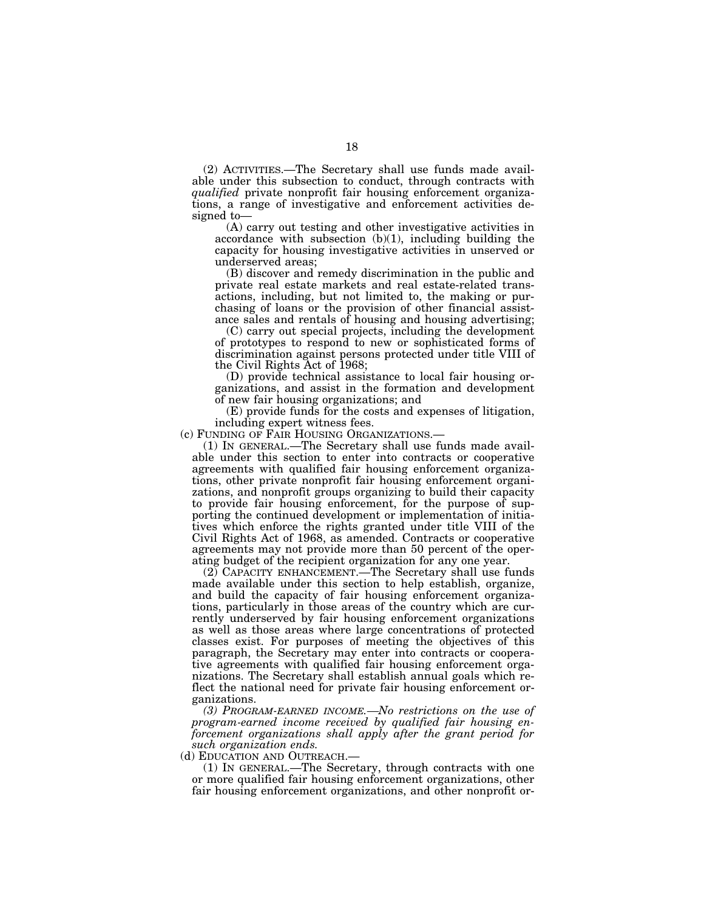(2) ACTIVITIES.—The Secretary shall use funds made available under this subsection to conduct, through contracts with *qualified* private nonprofit fair housing enforcement organizations, a range of investigative and enforcement activities designed to—

(A) carry out testing and other investigative activities in accordance with subsection  $(b)(1)$ , including building the capacity for housing investigative activities in unserved or underserved areas;

(B) discover and remedy discrimination in the public and private real estate markets and real estate-related transactions, including, but not limited to, the making or purchasing of loans or the provision of other financial assistance sales and rentals of housing and housing advertising;

(C) carry out special projects, including the development of prototypes to respond to new or sophisticated forms of discrimination against persons protected under title VIII of the Civil Rights Act of 1968;

(D) provide technical assistance to local fair housing organizations, and assist in the formation and development of new fair housing organizations; and

(E) provide funds for the costs and expenses of litigation, including expert witness fees.<br>(c) FUNDING OF FAIR HOUSING ORGANIZATIONS.—

 $(1)$  In GENERAL.—The Secretary shall use funds made available under this section to enter into contracts or cooperative agreements with qualified fair housing enforcement organizations, other private nonprofit fair housing enforcement organizations, and nonprofit groups organizing to build their capacity to provide fair housing enforcement, for the purpose of supporting the continued development or implementation of initiatives which enforce the rights granted under title VIII of the Civil Rights Act of 1968, as amended. Contracts or cooperative agreements may not provide more than 50 percent of the operating budget of the recipient organization for any one year.

(2) CAPACITY ENHANCEMENT.—The Secretary shall use funds made available under this section to help establish, organize, and build the capacity of fair housing enforcement organizations, particularly in those areas of the country which are currently underserved by fair housing enforcement organizations as well as those areas where large concentrations of protected classes exist. For purposes of meeting the objectives of this paragraph, the Secretary may enter into contracts or cooperative agreements with qualified fair housing enforcement organizations. The Secretary shall establish annual goals which reflect the national need for private fair housing enforcement organizations.

*(3) PROGRAM-EARNED INCOME.—No restrictions on the use of program-earned income received by qualified fair housing enforcement organizations shall apply after the grant period for such organization ends.* 

 $(1)$  In GENERAL.—The Secretary, through contracts with one or more qualified fair housing enforcement organizations, other fair housing enforcement organizations, and other nonprofit or-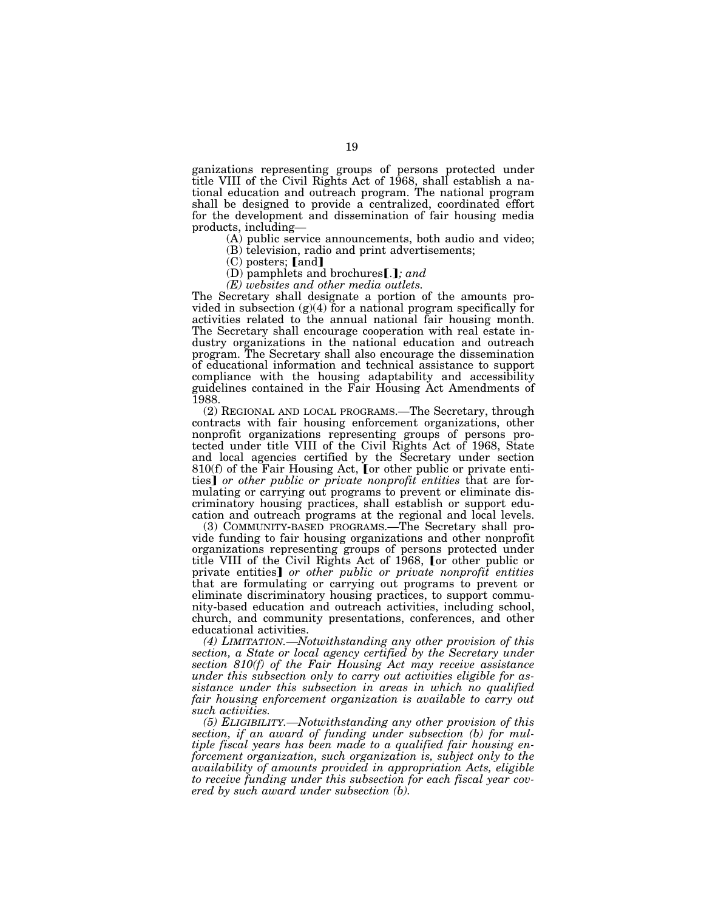ganizations representing groups of persons protected under title VIII of the Civil Rights Act of 1968, shall establish a national education and outreach program. The national program shall be designed to provide a centralized, coordinated effort for the development and dissemination of fair housing media products, including—

(A) public service announcements, both audio and video;

(B) television, radio and print advertisements;

 $(C)$  posters; [and]

(D) pamphlets and brochures [.**]**; and

*(E) websites and other media outlets.* 

The Secretary shall designate a portion of the amounts provided in subsection  $(g)(4)$  for a national program specifically for activities related to the annual national fair housing month. The Secretary shall encourage cooperation with real estate industry organizations in the national education and outreach program. The Secretary shall also encourage the dissemination of educational information and technical assistance to support compliance with the housing adaptability and accessibility guidelines contained in the Fair Housing Act Amendments of 1988.

(2) REGIONAL AND LOCAL PROGRAMS.—The Secretary, through contracts with fair housing enforcement organizations, other nonprofit organizations representing groups of persons protected under title VIII of the Civil Rights Act of 1968, State and local agencies certified by the Secretary under section  $810(f)$  of the Fair Housing Act, [or other public or private entities] *or other public or private nonprofit entities* that are formulating or carrying out programs to prevent or eliminate discriminatory housing practices, shall establish or support education and outreach programs at the regional and local levels.

(3) COMMUNITY-BASED PROGRAMS.—The Secretary shall provide funding to fair housing organizations and other nonprofit organizations representing groups of persons protected under title VIII of the Civil Rights Act of 1968, [or other public or private entities] *or other public or private nonprofit entities* that are formulating or carrying out programs to prevent or eliminate discriminatory housing practices, to support community-based education and outreach activities, including school, church, and community presentations, conferences, and other educational activities.

*(4) LIMITATION.—Notwithstanding any other provision of this section, a State or local agency certified by the Secretary under section 810(f) of the Fair Housing Act may receive assistance under this subsection only to carry out activities eligible for assistance under this subsection in areas in which no qualified fair housing enforcement organization is available to carry out such activities.* 

*(5) ELIGIBILITY.—Notwithstanding any other provision of this section, if an award of funding under subsection (b) for multiple fiscal years has been made to a qualified fair housing enforcement organization, such organization is, subject only to the availability of amounts provided in appropriation Acts, eligible to receive funding under this subsection for each fiscal year covered by such award under subsection (b).*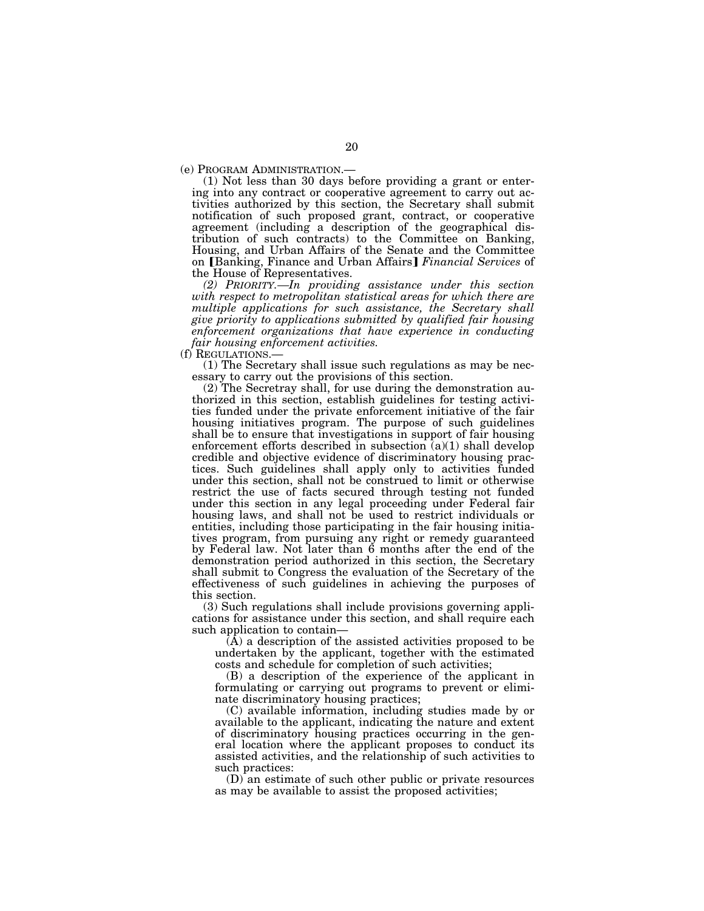(e) PROGRAM ADMINISTRATION.— (1) Not less than 30 days before providing a grant or entering into any contract or cooperative agreement to carry out activities authorized by this section, the Secretary shall submit notification of such proposed grant, contract, or cooperative agreement (including a description of the geographical distribution of such contracts) to the Committee on Banking, Housing, and Urban Affairs of the Senate and the Committee on [Banking, Finance and Urban Affairs] *Financial Services* of the House of Representatives.

*(2) PRIORITY.—In providing assistance under this section with respect to metropolitan statistical areas for which there are multiple applications for such assistance, the Secretary shall give priority to applications submitted by qualified fair housing enforcement organizations that have experience in conducting fair housing enforcement activities.* 

(f) REGULATIONS.—

(1) The Secretary shall issue such regulations as may be necessary to carry out the provisions of this section.

(2) The Secretray shall, for use during the demonstration authorized in this section, establish guidelines for testing activities funded under the private enforcement initiative of the fair housing initiatives program. The purpose of such guidelines shall be to ensure that investigations in support of fair housing enforcement efforts described in subsection  $(a)(1)$  shall develop credible and objective evidence of discriminatory housing practices. Such guidelines shall apply only to activities funded under this section, shall not be construed to limit or otherwise restrict the use of facts secured through testing not funded under this section in any legal proceeding under Federal fair housing laws, and shall not be used to restrict individuals or entities, including those participating in the fair housing initiatives program, from pursuing any right or remedy guaranteed by Federal law. Not later than 6 months after the end of the demonstration period authorized in this section, the Secretary shall submit to Congress the evaluation of the Secretary of the effectiveness of such guidelines in achieving the purposes of this section.

(3) Such regulations shall include provisions governing applications for assistance under this section, and shall require each such application to contain—

 $(\overline{A})$  a description of the assisted activities proposed to be undertaken by the applicant, together with the estimated costs and schedule for completion of such activities;

(B) a description of the experience of the applicant in formulating or carrying out programs to prevent or eliminate discriminatory housing practices;

(C) available information, including studies made by or available to the applicant, indicating the nature and extent of discriminatory housing practices occurring in the general location where the applicant proposes to conduct its assisted activities, and the relationship of such activities to such practices:

(D) an estimate of such other public or private resources as may be available to assist the proposed activities;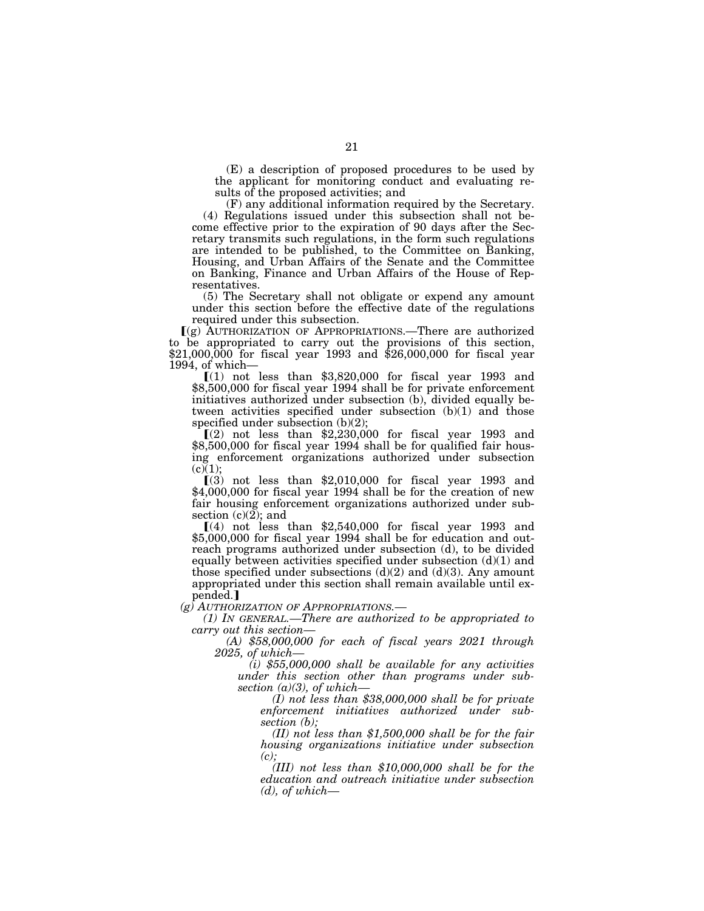(E) a description of proposed procedures to be used by the applicant for monitoring conduct and evaluating results of the proposed activities; and

(F) any additional information required by the Secretary. (4) Regulations issued under this subsection shall not become effective prior to the expiration of 90 days after the Secretary transmits such regulations, in the form such regulations are intended to be published, to the Committee on Banking, Housing, and Urban Affairs of the Senate and the Committee on Banking, Finance and Urban Affairs of the House of Representatives.

(5) The Secretary shall not obligate or expend any amount under this section before the effective date of the regulations required under this subsection.

 $(q)$  AUTHORIZATION OF APPROPRIATIONS.—There are authorized to be appropriated to carry out the provisions of this section, \$21,000,000 for fiscal year 1993 and \$26,000,000 for fiscal year 1994, of which—

 $(1)$  not less than \$3,820,000 for fiscal year 1993 and \$8,500,000 for fiscal year 1994 shall be for private enforcement initiatives authorized under subsection (b), divided equally between activities specified under subsection (b)(1) and those specified under subsection (b)(2);

 $(2)$  not less than \$2,230,000 for fiscal year 1993 and \$8,500,000 for fiscal year 1994 shall be for qualified fair housing enforcement organizations authorized under subsection  $(c)(1);$ 

 $(3)$  not less than \$2,010,000 for fiscal year 1993 and \$4,000,000 for fiscal year 1994 shall be for the creation of new fair housing enforcement organizations authorized under subsection (c)(2); and

 $(4)$  not less than \$2,540,000 for fiscal year 1993 and \$5,000,000 for fiscal year 1994 shall be for education and outreach programs authorized under subsection (d), to be divided equally between activities specified under subsection  $(d)(1)$  and those specified under subsections  $(d)(2)$  and  $(d)(3)$ . Any amount appropriated under this section shall remain available until expended.]<br>(g) AUTHORIZATION OF APPROPRIATIONS.

*(g) AUTHORIZATION OF APPROPRIATIONS.— (1) IN GENERAL.—There are authorized to be appropriated to carry out this section—* 

*(A) \$58,000,000 for each of fiscal years 2021 through 2025, of which—* 

*(i) \$55,000,000 shall be available for any activities under this section other than programs under subsection (a)(3), of which—* 

*(I) not less than \$38,000,000 shall be for private enforcement initiatives authorized under subsection (b);* 

*(II) not less than \$1,500,000 shall be for the fair housing organizations initiative under subsection (c);* 

*(III) not less than \$10,000,000 shall be for the education and outreach initiative under subsection (d), of which—*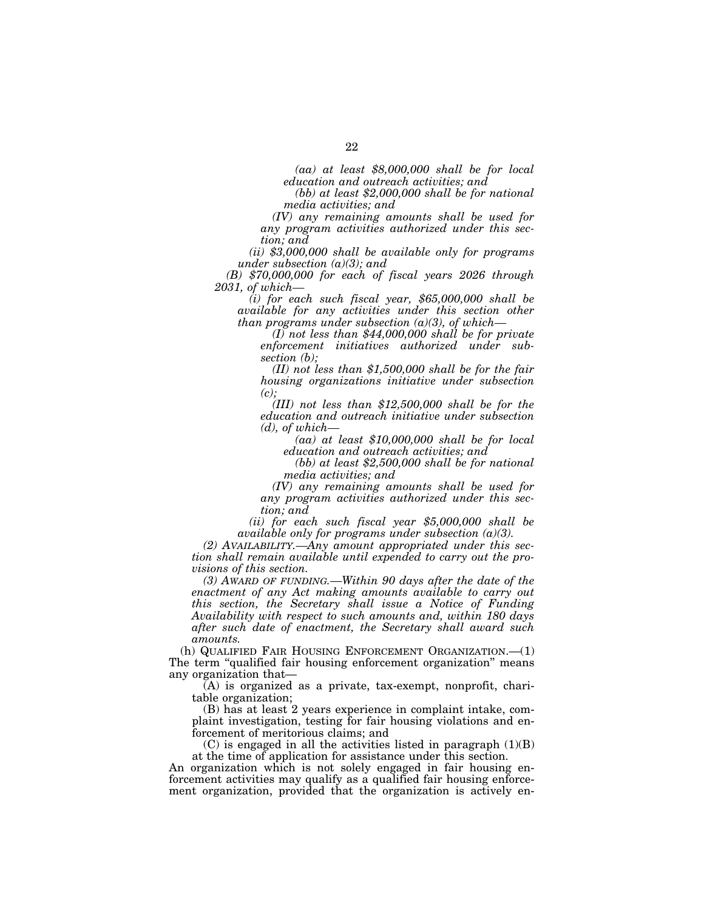*(aa) at least \$8,000,000 shall be for local education and outreach activities; and* 

*(bb) at least \$2,000,000 shall be for national media activities; and* 

*(IV) any remaining amounts shall be used for any program activities authorized under this section; and* 

*(ii) \$3,000,000 shall be available only for programs under subsection (a)(3); and* 

*(B) \$70,000,000 for each of fiscal years 2026 through 2031, of which—* 

*(i) for each such fiscal year, \$65,000,000 shall be available for any activities under this section other than programs under subsection (a)(3), of which—* 

*(I) not less than \$44,000,000 shall be for private enforcement initiatives authorized under subsection (b);* 

*(II) not less than \$1,500,000 shall be for the fair housing organizations initiative under subsection (c);* 

*(III) not less than \$12,500,000 shall be for the education and outreach initiative under subsection (d), of which—* 

*(aa) at least \$10,000,000 shall be for local education and outreach activities; and* 

*(bb) at least \$2,500,000 shall be for national media activities; and* 

*(IV) any remaining amounts shall be used for any program activities authorized under this section; and* 

*(ii) for each such fiscal year \$5,000,000 shall be available only for programs under subsection (a)(3).* 

*(2) AVAILABILITY.—Any amount appropriated under this section shall remain available until expended to carry out the provisions of this section.* 

*(3) AWARD OF FUNDING.—Within 90 days after the date of the enactment of any Act making amounts available to carry out this section, the Secretary shall issue a Notice of Funding Availability with respect to such amounts and, within 180 days after such date of enactment, the Secretary shall award such amounts.* 

(h) QUALIFIED FAIR HOUSING ENFORCEMENT ORGANIZATION.—(1) The term "qualified fair housing enforcement organization" means any organization that—

(A) is organized as a private, tax-exempt, nonprofit, charitable organization;

(B) has at least 2 years experience in complaint intake, complaint investigation, testing for fair housing violations and enforcement of meritorious claims; and

(C) is engaged in all the activities listed in paragraph (1)(B) at the time of application for assistance under this section.

An organization which is not solely engaged in fair housing enforcement activities may qualify as a qualified fair housing enforcement organization, provided that the organization is actively en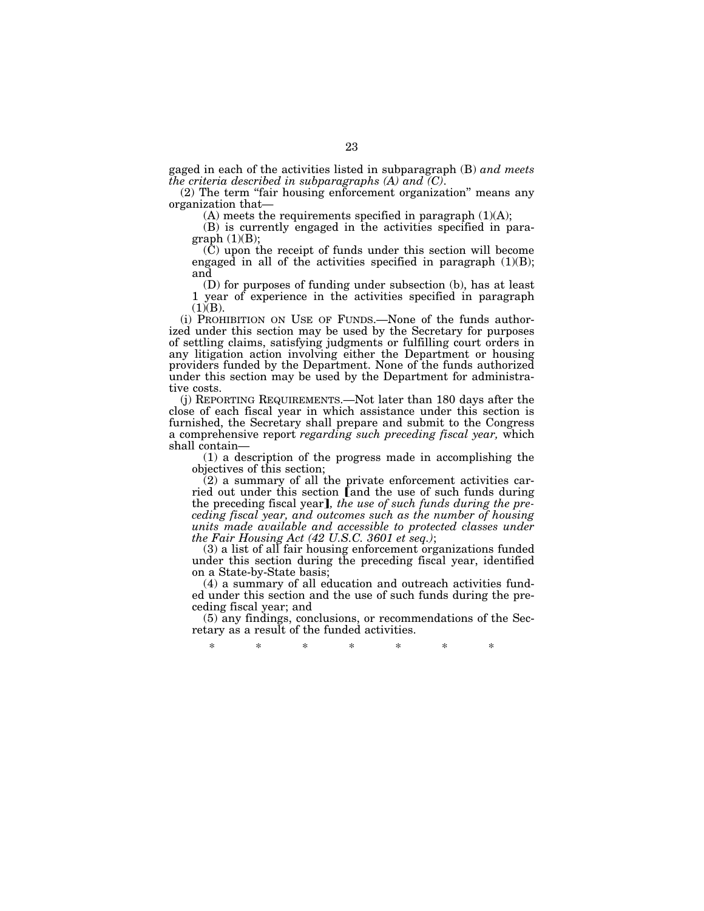gaged in each of the activities listed in subparagraph (B) *and meets* 

*the criteria described in subparagraphs (A) and (C)*. (2) The term ''fair housing enforcement organization'' means any organization that—

(A) meets the requirements specified in paragraph  $(1)(A)$ ;

(B) is currently engaged in the activities specified in paragraph  $(1)(B)$ ;

(C) upon the receipt of funds under this section will become engaged in all of the activities specified in paragraph  $(1)(B)$ ; and

(D) for purposes of funding under subsection (b), has at least 1 year of experience in the activities specified in paragraph  $(1)(B)$ .

(i) PROHIBITION ON USE OF FUNDS.—None of the funds authorized under this section may be used by the Secretary for purposes of settling claims, satisfying judgments or fulfilling court orders in any litigation action involving either the Department or housing providers funded by the Department. None of the funds authorized under this section may be used by the Department for administrative costs.

(j) REPORTING REQUIREMENTS.—Not later than 180 days after the close of each fiscal year in which assistance under this section is furnished, the Secretary shall prepare and submit to the Congress a comprehensive report *regarding such preceding fiscal year,* which shall contain—

(1) a description of the progress made in accomplishing the objectives of this section;

 $(2)$  a summary of all the private enforcement activities carried out under this section (and the use of such funds during the preceding fiscal year], the use of such funds during the pre*ceding fiscal year, and outcomes such as the number of housing units made available and accessible to protected classes under the Fair Housing Act (42 U.S.C. 3601 et seq.)*;

(3) a list of all fair housing enforcement organizations funded under this section during the preceding fiscal year, identified on a State-by-State basis;

(4) a summary of all education and outreach activities funded under this section and the use of such funds during the preceding fiscal year; and

(5) any findings, conclusions, or recommendations of the Secretary as a result of the funded activities.

\* \* \* \* \* \* \*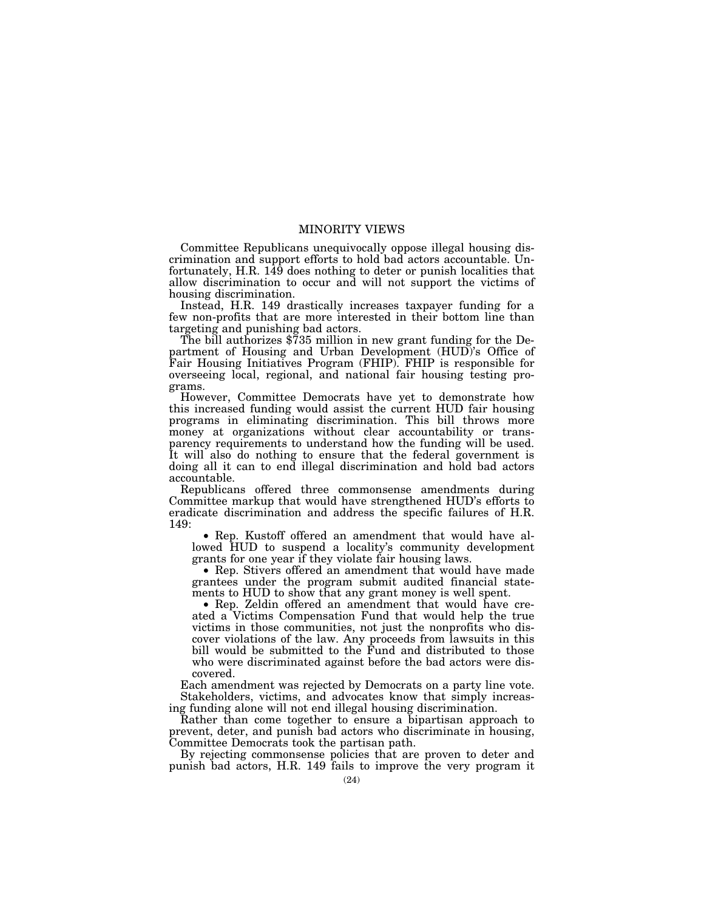## MINORITY VIEWS

Committee Republicans unequivocally oppose illegal housing discrimination and support efforts to hold bad actors accountable. Unfortunately, H.R. 149 does nothing to deter or punish localities that allow discrimination to occur and will not support the victims of housing discrimination.

Instead, H.R. 149 drastically increases taxpayer funding for a few non-profits that are more interested in their bottom line than targeting and punishing bad actors.

The bill authorizes \$735 million in new grant funding for the Department of Housing and Urban Development (HUD)'s Office of Fair Housing Initiatives Program (FHIP). FHIP is responsible for overseeing local, regional, and national fair housing testing programs.

However, Committee Democrats have yet to demonstrate how this increased funding would assist the current HUD fair housing programs in eliminating discrimination. This bill throws more money at organizations without clear accountability or transparency requirements to understand how the funding will be used. It will also do nothing to ensure that the federal government is doing all it can to end illegal discrimination and hold bad actors accountable.

Republicans offered three commonsense amendments during Committee markup that would have strengthened HUD's efforts to eradicate discrimination and address the specific failures of H.R. 149:

• Rep. Kustoff offered an amendment that would have allowed HUD to suspend a locality's community development grants for one year if they violate fair housing laws.

• Rep. Stivers offered an amendment that would have made grantees under the program submit audited financial statements to HUD to show that any grant money is well spent.

• Rep. Zeldin offered an amendment that would have created a Victims Compensation Fund that would help the true victims in those communities, not just the nonprofits who discover violations of the law. Any proceeds from lawsuits in this bill would be submitted to the Fund and distributed to those who were discriminated against before the bad actors were discovered.

Each amendment was rejected by Democrats on a party line vote. Stakeholders, victims, and advocates know that simply increasing funding alone will not end illegal housing discrimination.

Rather than come together to ensure a bipartisan approach to prevent, deter, and punish bad actors who discriminate in housing, Committee Democrats took the partisan path.

By rejecting commonsense policies that are proven to deter and punish bad actors, H.R. 149 fails to improve the very program it